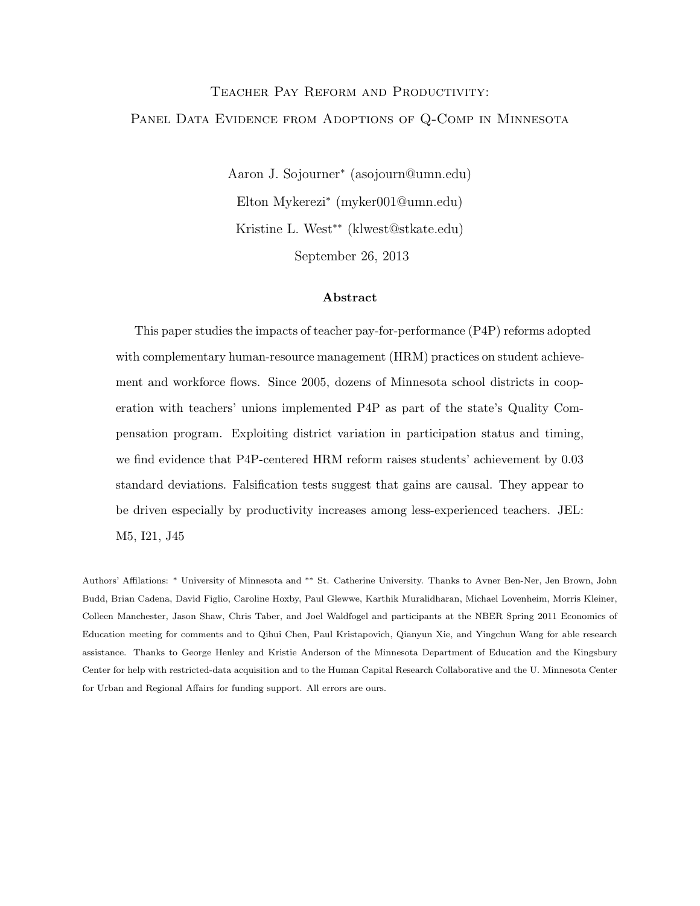## Teacher Pay Reform and Productivity: PANEL DATA EVIDENCE FROM ADOPTIONS OF Q-COMP IN MINNESOTA

Aaron J. Sojourner<sup>∗</sup> (asojourn@umn.edu) Elton Mykerezi<sup>∗</sup> (myker001@umn.edu) Kristine L. West∗∗ (klwest@stkate.edu) September 26, 2013

#### Abstract

This paper studies the impacts of teacher pay-for-performance (P4P) reforms adopted with complementary human-resource management (HRM) practices on student achievement and workforce flows. Since 2005, dozens of Minnesota school districts in cooperation with teachers' unions implemented P4P as part of the state's Quality Compensation program. Exploiting district variation in participation status and timing, we find evidence that P4P-centered HRM reform raises students' achievement by 0.03 standard deviations. Falsification tests suggest that gains are causal. They appear to be driven especially by productivity increases among less-experienced teachers. JEL: M5, I21, J45

Authors' Affilations: <sup>∗</sup> University of Minnesota and ∗∗ St. Catherine University. Thanks to Avner Ben-Ner, Jen Brown, John Budd, Brian Cadena, David Figlio, Caroline Hoxby, Paul Glewwe, Karthik Muralidharan, Michael Lovenheim, Morris Kleiner, Colleen Manchester, Jason Shaw, Chris Taber, and Joel Waldfogel and participants at the NBER Spring 2011 Economics of Education meeting for comments and to Qihui Chen, Paul Kristapovich, Qianyun Xie, and Yingchun Wang for able research assistance. Thanks to George Henley and Kristie Anderson of the Minnesota Department of Education and the Kingsbury Center for help with restricted-data acquisition and to the Human Capital Research Collaborative and the U. Minnesota Center for Urban and Regional Affairs for funding support. All errors are ours.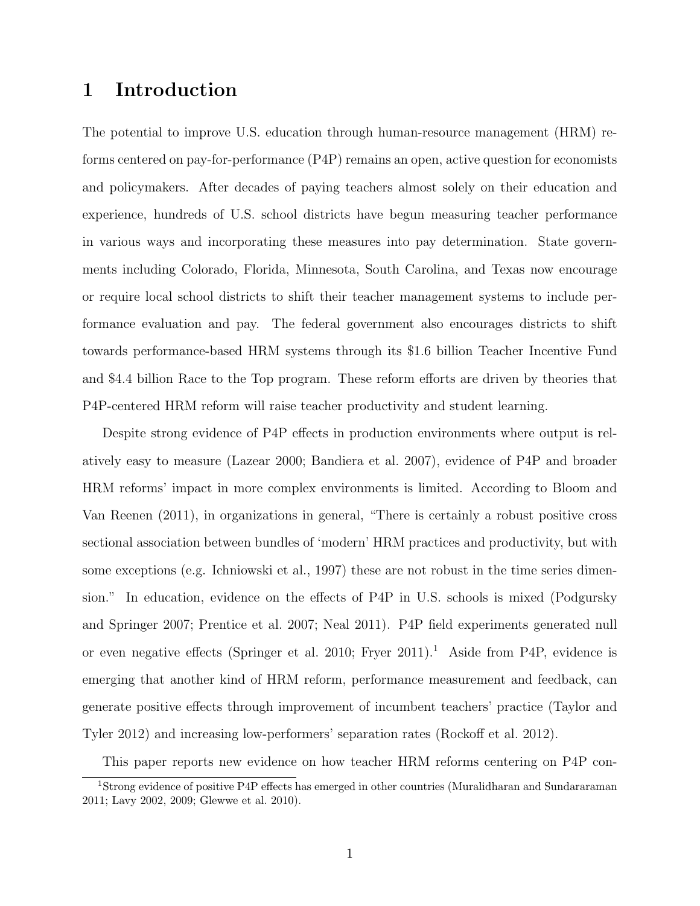#### 1 Introduction

The potential to improve U.S. education through human-resource management (HRM) reforms centered on pay-for-performance (P4P) remains an open, active question for economists and policymakers. After decades of paying teachers almost solely on their education and experience, hundreds of U.S. school districts have begun measuring teacher performance in various ways and incorporating these measures into pay determination. State governments including Colorado, Florida, Minnesota, South Carolina, and Texas now encourage or require local school districts to shift their teacher management systems to include performance evaluation and pay. The federal government also encourages districts to shift towards performance-based HRM systems through its \$1.6 billion Teacher Incentive Fund and \$4.4 billion Race to the Top program. These reform efforts are driven by theories that P4P-centered HRM reform will raise teacher productivity and student learning.

Despite strong evidence of P4P effects in production environments where output is relatively easy to measure (Lazear 2000; Bandiera et al. 2007), evidence of P4P and broader HRM reforms' impact in more complex environments is limited. According to Bloom and Van Reenen (2011), in organizations in general, "There is certainly a robust positive cross sectional association between bundles of 'modern' HRM practices and productivity, but with some exceptions (e.g. Ichniowski et al., 1997) these are not robust in the time series dimension." In education, evidence on the effects of P4P in U.S. schools is mixed (Podgursky and Springer 2007; Prentice et al. 2007; Neal 2011). P4P field experiments generated null or even negative effects (Springer et al. 2010; Fryer 2011).<sup>1</sup> Aside from P4P, evidence is emerging that another kind of HRM reform, performance measurement and feedback, can generate positive effects through improvement of incumbent teachers' practice (Taylor and Tyler 2012) and increasing low-performers' separation rates (Rockoff et al. 2012).

This paper reports new evidence on how teacher HRM reforms centering on P4P con-

<sup>1</sup>Strong evidence of positive P4P effects has emerged in other countries (Muralidharan and Sundararaman 2011; Lavy 2002, 2009; Glewwe et al. 2010).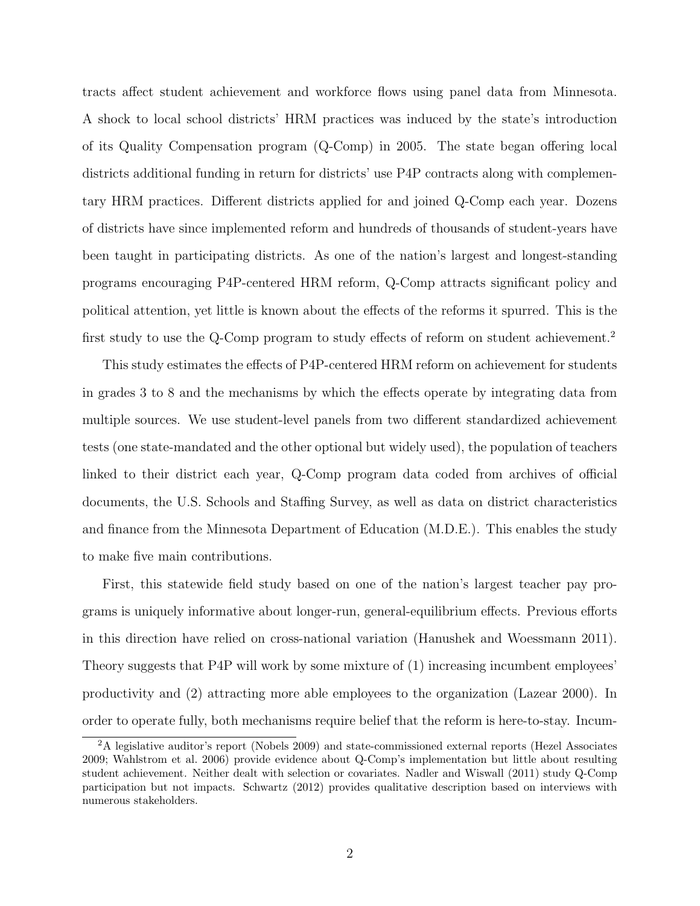tracts affect student achievement and workforce flows using panel data from Minnesota. A shock to local school districts' HRM practices was induced by the state's introduction of its Quality Compensation program (Q-Comp) in 2005. The state began offering local districts additional funding in return for districts' use P4P contracts along with complementary HRM practices. Different districts applied for and joined Q-Comp each year. Dozens of districts have since implemented reform and hundreds of thousands of student-years have been taught in participating districts. As one of the nation's largest and longest-standing programs encouraging P4P-centered HRM reform, Q-Comp attracts significant policy and political attention, yet little is known about the effects of the reforms it spurred. This is the first study to use the Q-Comp program to study effects of reform on student achievement.<sup>2</sup>

This study estimates the effects of P4P-centered HRM reform on achievement for students in grades 3 to 8 and the mechanisms by which the effects operate by integrating data from multiple sources. We use student-level panels from two different standardized achievement tests (one state-mandated and the other optional but widely used), the population of teachers linked to their district each year, Q-Comp program data coded from archives of official documents, the U.S. Schools and Staffing Survey, as well as data on district characteristics and finance from the Minnesota Department of Education (M.D.E.). This enables the study to make five main contributions.

First, this statewide field study based on one of the nation's largest teacher pay programs is uniquely informative about longer-run, general-equilibrium effects. Previous efforts in this direction have relied on cross-national variation (Hanushek and Woessmann 2011). Theory suggests that P4P will work by some mixture of (1) increasing incumbent employees' productivity and (2) attracting more able employees to the organization (Lazear 2000). In order to operate fully, both mechanisms require belief that the reform is here-to-stay. Incum-

<sup>2</sup>A legislative auditor's report (Nobels 2009) and state-commissioned external reports (Hezel Associates 2009; Wahlstrom et al. 2006) provide evidence about Q-Comp's implementation but little about resulting student achievement. Neither dealt with selection or covariates. Nadler and Wiswall (2011) study Q-Comp participation but not impacts. Schwartz (2012) provides qualitative description based on interviews with numerous stakeholders.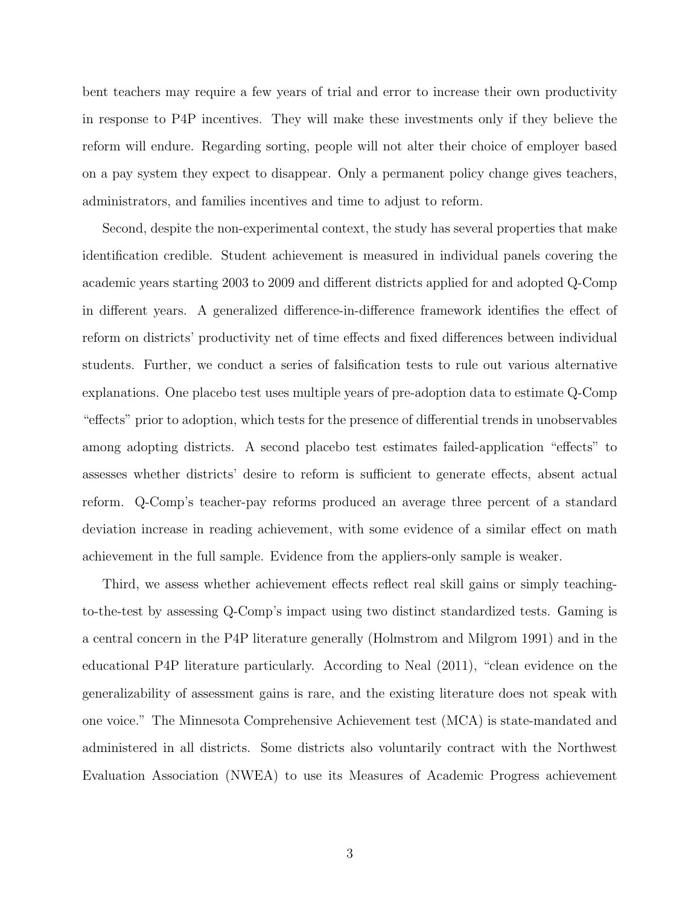bent teachers may require a few years of trial and error to increase their own productivity in response to P4P incentives. They will make these investments only if they believe the reform will endure. Regarding sorting, people will not alter their choice of employer based on a pay system they expect to disappear. Only a permanent policy change gives teachers, administrators, and families incentives and time to adjust to reform.

Second, despite the non-experimental context, the study has several properties that make identification credible. Student achievement is measured in individual panels covering the academic years starting 2003 to 2009 and different districts applied for and adopted Q-Comp in different years. A generalized difference-in-difference framework identifies the effect of reform on districts' productivity net of time effects and fixed differences between individual students. Further, we conduct a series of falsification tests to rule out various alternative explanations. One placebo test uses multiple years of pre-adoption data to estimate Q-Comp "effects" prior to adoption, which tests for the presence of differential trends in unobservables among adopting districts. A second placebo test estimates failed-application "effects" to assesses whether districts' desire to reform is sufficient to generate effects, absent actual reform. Q-Comp's teacher-pay reforms produced an average three percent of a standard deviation increase in reading achievement, with some evidence of a similar effect on math achievement in the full sample. Evidence from the appliers-only sample is weaker.

Third, we assess whether achievement effects reflect real skill gains or simply teachingto-the-test by assessing Q-Comp's impact using two distinct standardized tests. Gaming is a central concern in the P4P literature generally (Holmstrom and Milgrom 1991) and in the educational P4P literature particularly. According to Neal (2011), "clean evidence on the generalizability of assessment gains is rare, and the existing literature does not speak with one voice." The Minnesota Comprehensive Achievement test (MCA) is state-mandated and administered in all districts. Some districts also voluntarily contract with the Northwest Evaluation Association (NWEA) to use its Measures of Academic Progress achievement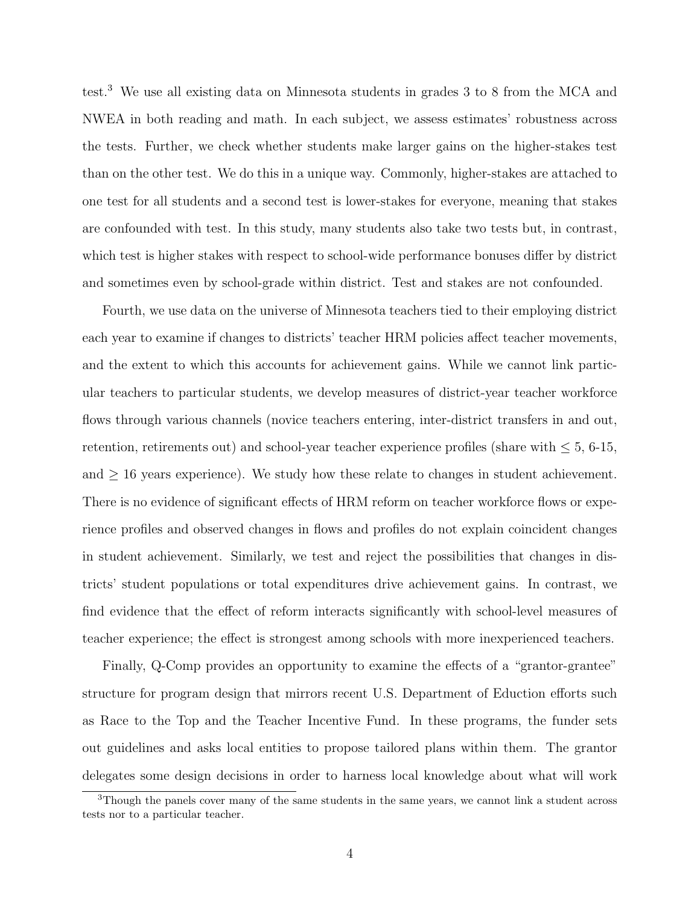test.<sup>3</sup> We use all existing data on Minnesota students in grades 3 to 8 from the MCA and NWEA in both reading and math. In each subject, we assess estimates' robustness across the tests. Further, we check whether students make larger gains on the higher-stakes test than on the other test. We do this in a unique way. Commonly, higher-stakes are attached to one test for all students and a second test is lower-stakes for everyone, meaning that stakes are confounded with test. In this study, many students also take two tests but, in contrast, which test is higher stakes with respect to school-wide performance bonuses differ by district and sometimes even by school-grade within district. Test and stakes are not confounded.

Fourth, we use data on the universe of Minnesota teachers tied to their employing district each year to examine if changes to districts' teacher HRM policies affect teacher movements, and the extent to which this accounts for achievement gains. While we cannot link particular teachers to particular students, we develop measures of district-year teacher workforce flows through various channels (novice teachers entering, inter-district transfers in and out, retention, retirements out) and school-year teacher experience profiles (share with  $\leq 5, 6$ -15, and  $\geq$  16 years experience). We study how these relate to changes in student achievement. There is no evidence of significant effects of HRM reform on teacher workforce flows or experience profiles and observed changes in flows and profiles do not explain coincident changes in student achievement. Similarly, we test and reject the possibilities that changes in districts' student populations or total expenditures drive achievement gains. In contrast, we find evidence that the effect of reform interacts significantly with school-level measures of teacher experience; the effect is strongest among schools with more inexperienced teachers.

Finally, Q-Comp provides an opportunity to examine the effects of a "grantor-grantee" structure for program design that mirrors recent U.S. Department of Eduction efforts such as Race to the Top and the Teacher Incentive Fund. In these programs, the funder sets out guidelines and asks local entities to propose tailored plans within them. The grantor delegates some design decisions in order to harness local knowledge about what will work

<sup>&</sup>lt;sup>3</sup>Though the panels cover many of the same students in the same years, we cannot link a student across tests nor to a particular teacher.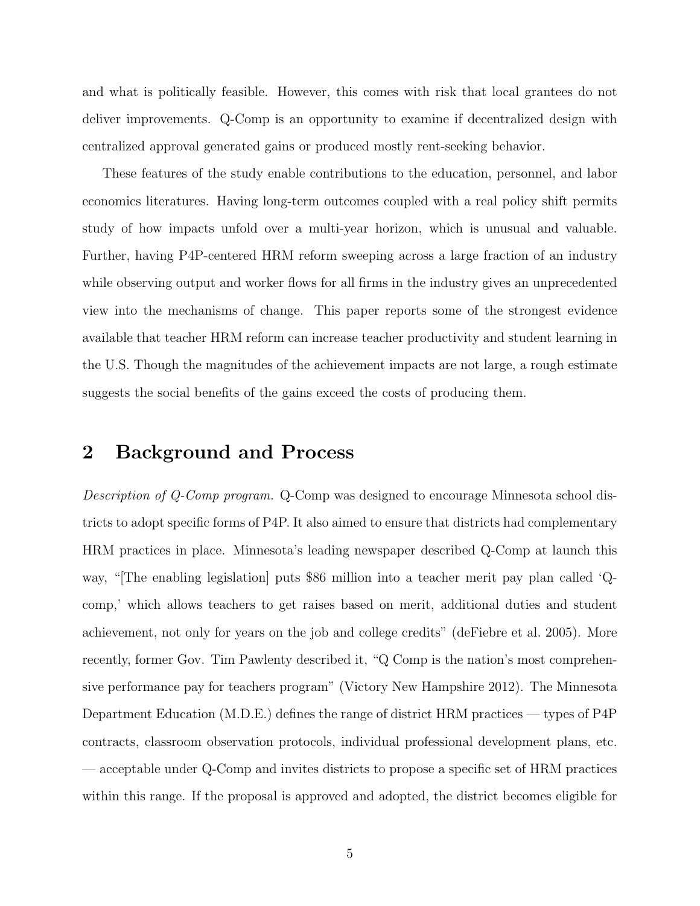and what is politically feasible. However, this comes with risk that local grantees do not deliver improvements. Q-Comp is an opportunity to examine if decentralized design with centralized approval generated gains or produced mostly rent-seeking behavior.

These features of the study enable contributions to the education, personnel, and labor economics literatures. Having long-term outcomes coupled with a real policy shift permits study of how impacts unfold over a multi-year horizon, which is unusual and valuable. Further, having P4P-centered HRM reform sweeping across a large fraction of an industry while observing output and worker flows for all firms in the industry gives an unprecedented view into the mechanisms of change. This paper reports some of the strongest evidence available that teacher HRM reform can increase teacher productivity and student learning in the U.S. Though the magnitudes of the achievement impacts are not large, a rough estimate suggests the social benefits of the gains exceed the costs of producing them.

#### 2 Background and Process

Description of Q-Comp program. Q-Comp was designed to encourage Minnesota school districts to adopt specific forms of P4P. It also aimed to ensure that districts had complementary HRM practices in place. Minnesota's leading newspaper described Q-Comp at launch this way, "[The enabling legislation] puts \$86 million into a teacher merit pay plan called 'Qcomp,' which allows teachers to get raises based on merit, additional duties and student achievement, not only for years on the job and college credits" (deFiebre et al. 2005). More recently, former Gov. Tim Pawlenty described it, "Q Comp is the nation's most comprehensive performance pay for teachers program" (Victory New Hampshire 2012). The Minnesota Department Education (M.D.E.) defines the range of district HRM practices — types of P4P contracts, classroom observation protocols, individual professional development plans, etc. — acceptable under Q-Comp and invites districts to propose a specific set of HRM practices within this range. If the proposal is approved and adopted, the district becomes eligible for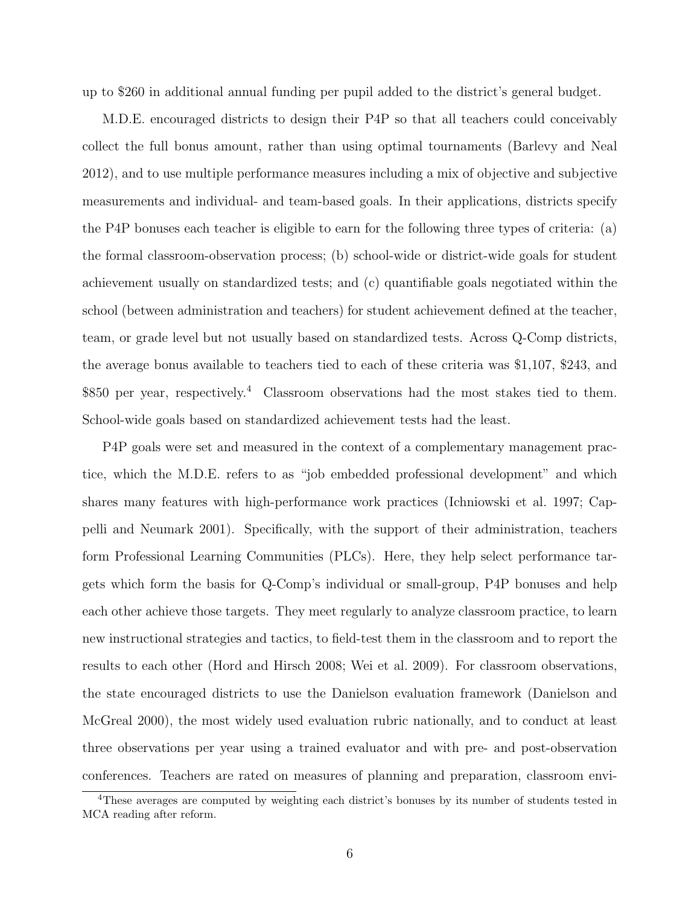up to \$260 in additional annual funding per pupil added to the district's general budget.

M.D.E. encouraged districts to design their P4P so that all teachers could conceivably collect the full bonus amount, rather than using optimal tournaments (Barlevy and Neal 2012), and to use multiple performance measures including a mix of objective and subjective measurements and individual- and team-based goals. In their applications, districts specify the P4P bonuses each teacher is eligible to earn for the following three types of criteria: (a) the formal classroom-observation process; (b) school-wide or district-wide goals for student achievement usually on standardized tests; and (c) quantifiable goals negotiated within the school (between administration and teachers) for student achievement defined at the teacher, team, or grade level but not usually based on standardized tests. Across Q-Comp districts, the average bonus available to teachers tied to each of these criteria was \$1,107, \$243, and \$850 per year, respectively.<sup>4</sup> Classroom observations had the most stakes tied to them. School-wide goals based on standardized achievement tests had the least.

P4P goals were set and measured in the context of a complementary management practice, which the M.D.E. refers to as "job embedded professional development" and which shares many features with high-performance work practices (Ichniowski et al. 1997; Cappelli and Neumark 2001). Specifically, with the support of their administration, teachers form Professional Learning Communities (PLCs). Here, they help select performance targets which form the basis for Q-Comp's individual or small-group, P4P bonuses and help each other achieve those targets. They meet regularly to analyze classroom practice, to learn new instructional strategies and tactics, to field-test them in the classroom and to report the results to each other (Hord and Hirsch 2008; Wei et al. 2009). For classroom observations, the state encouraged districts to use the Danielson evaluation framework (Danielson and McGreal 2000), the most widely used evaluation rubric nationally, and to conduct at least three observations per year using a trained evaluator and with pre- and post-observation conferences. Teachers are rated on measures of planning and preparation, classroom envi-

<sup>&</sup>lt;sup>4</sup>These averages are computed by weighting each district's bonuses by its number of students tested in MCA reading after reform.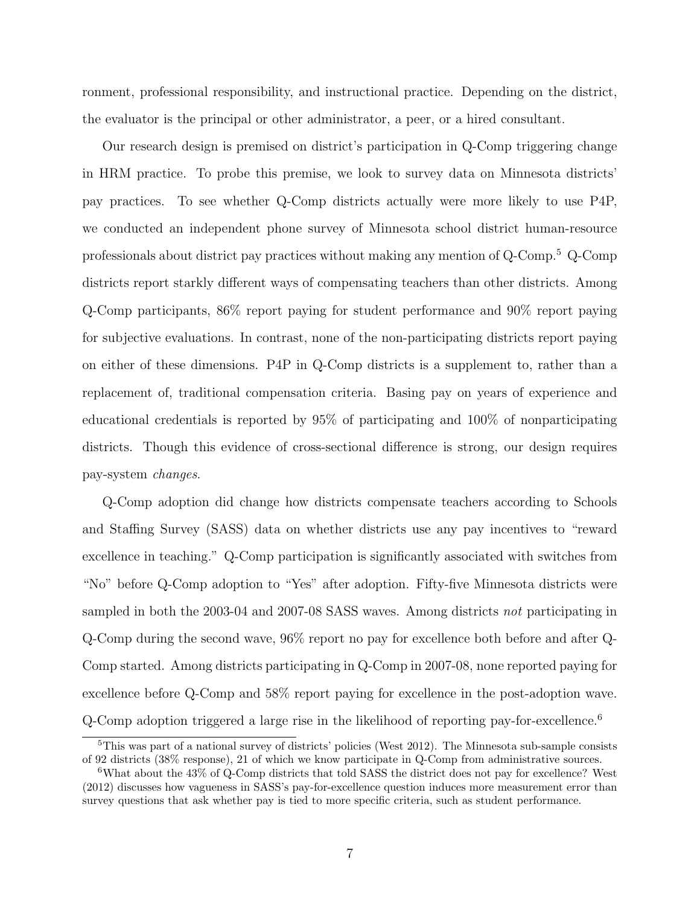ronment, professional responsibility, and instructional practice. Depending on the district, the evaluator is the principal or other administrator, a peer, or a hired consultant.

Our research design is premised on district's participation in Q-Comp triggering change in HRM practice. To probe this premise, we look to survey data on Minnesota districts' pay practices. To see whether Q-Comp districts actually were more likely to use P4P, we conducted an independent phone survey of Minnesota school district human-resource professionals about district pay practices without making any mention of Q-Comp.<sup>5</sup> Q-Comp districts report starkly different ways of compensating teachers than other districts. Among Q-Comp participants, 86% report paying for student performance and 90% report paying for subjective evaluations. In contrast, none of the non-participating districts report paying on either of these dimensions. P4P in Q-Comp districts is a supplement to, rather than a replacement of, traditional compensation criteria. Basing pay on years of experience and educational credentials is reported by 95% of participating and 100% of nonparticipating districts. Though this evidence of cross-sectional difference is strong, our design requires pay-system changes.

Q-Comp adoption did change how districts compensate teachers according to Schools and Staffing Survey (SASS) data on whether districts use any pay incentives to "reward excellence in teaching." Q-Comp participation is significantly associated with switches from "No" before Q-Comp adoption to "Yes" after adoption. Fifty-five Minnesota districts were sampled in both the 2003-04 and 2007-08 SASS waves. Among districts not participating in Q-Comp during the second wave, 96% report no pay for excellence both before and after Q-Comp started. Among districts participating in Q-Comp in 2007-08, none reported paying for excellence before Q-Comp and 58% report paying for excellence in the post-adoption wave. Q-Comp adoption triggered a large rise in the likelihood of reporting pay-for-excellence.<sup>6</sup>

 $5$ This was part of a national survey of districts' policies (West 2012). The Minnesota sub-sample consists of 92 districts (38% response), 21 of which we know participate in Q-Comp from administrative sources.

<sup>6</sup>What about the 43% of Q-Comp districts that told SASS the district does not pay for excellence? West (2012) discusses how vagueness in SASS's pay-for-excellence question induces more measurement error than survey questions that ask whether pay is tied to more specific criteria, such as student performance.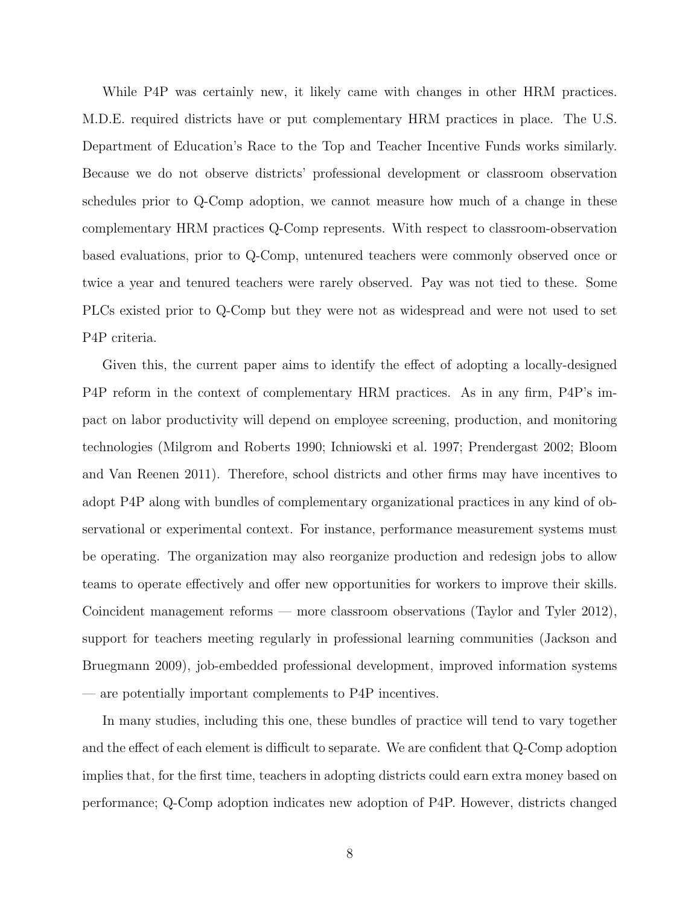While P4P was certainly new, it likely came with changes in other HRM practices. M.D.E. required districts have or put complementary HRM practices in place. The U.S. Department of Education's Race to the Top and Teacher Incentive Funds works similarly. Because we do not observe districts' professional development or classroom observation schedules prior to Q-Comp adoption, we cannot measure how much of a change in these complementary HRM practices Q-Comp represents. With respect to classroom-observation based evaluations, prior to Q-Comp, untenured teachers were commonly observed once or twice a year and tenured teachers were rarely observed. Pay was not tied to these. Some PLCs existed prior to Q-Comp but they were not as widespread and were not used to set P4P criteria.

Given this, the current paper aims to identify the effect of adopting a locally-designed P4P reform in the context of complementary HRM practices. As in any firm, P4P's impact on labor productivity will depend on employee screening, production, and monitoring technologies (Milgrom and Roberts 1990; Ichniowski et al. 1997; Prendergast 2002; Bloom and Van Reenen 2011). Therefore, school districts and other firms may have incentives to adopt P4P along with bundles of complementary organizational practices in any kind of observational or experimental context. For instance, performance measurement systems must be operating. The organization may also reorganize production and redesign jobs to allow teams to operate effectively and offer new opportunities for workers to improve their skills. Coincident management reforms — more classroom observations (Taylor and Tyler 2012), support for teachers meeting regularly in professional learning communities (Jackson and Bruegmann 2009), job-embedded professional development, improved information systems — are potentially important complements to P4P incentives.

In many studies, including this one, these bundles of practice will tend to vary together and the effect of each element is difficult to separate. We are confident that Q-Comp adoption implies that, for the first time, teachers in adopting districts could earn extra money based on performance; Q-Comp adoption indicates new adoption of P4P. However, districts changed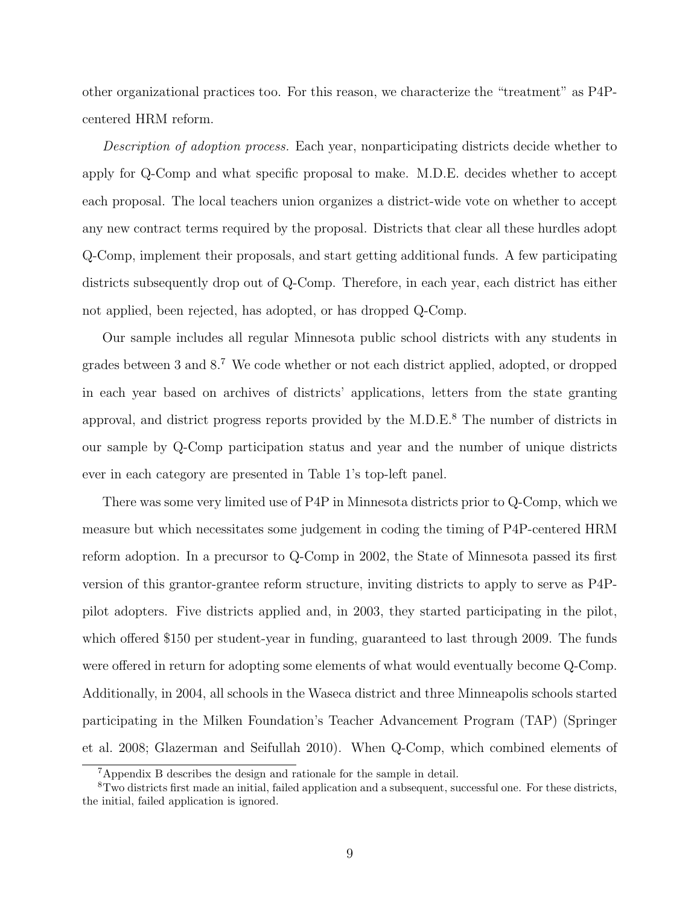other organizational practices too. For this reason, we characterize the "treatment" as P4Pcentered HRM reform.

Description of adoption process. Each year, nonparticipating districts decide whether to apply for Q-Comp and what specific proposal to make. M.D.E. decides whether to accept each proposal. The local teachers union organizes a district-wide vote on whether to accept any new contract terms required by the proposal. Districts that clear all these hurdles adopt Q-Comp, implement their proposals, and start getting additional funds. A few participating districts subsequently drop out of Q-Comp. Therefore, in each year, each district has either not applied, been rejected, has adopted, or has dropped Q-Comp.

Our sample includes all regular Minnesota public school districts with any students in grades between 3 and 8.<sup>7</sup> We code whether or not each district applied, adopted, or dropped in each year based on archives of districts' applications, letters from the state granting approval, and district progress reports provided by the  $M.D.E.<sup>8</sup>$  The number of districts in our sample by Q-Comp participation status and year and the number of unique districts ever in each category are presented in Table 1's top-left panel.

There was some very limited use of P4P in Minnesota districts prior to Q-Comp, which we measure but which necessitates some judgement in coding the timing of P4P-centered HRM reform adoption. In a precursor to Q-Comp in 2002, the State of Minnesota passed its first version of this grantor-grantee reform structure, inviting districts to apply to serve as P4Ppilot adopters. Five districts applied and, in 2003, they started participating in the pilot, which offered \$150 per student-year in funding, guaranteed to last through 2009. The funds were offered in return for adopting some elements of what would eventually become Q-Comp. Additionally, in 2004, all schools in the Waseca district and three Minneapolis schools started participating in the Milken Foundation's Teacher Advancement Program (TAP) (Springer et al. 2008; Glazerman and Seifullah 2010). When Q-Comp, which combined elements of

<sup>7</sup>Appendix B describes the design and rationale for the sample in detail.

<sup>8</sup>Two districts first made an initial, failed application and a subsequent, successful one. For these districts, the initial, failed application is ignored.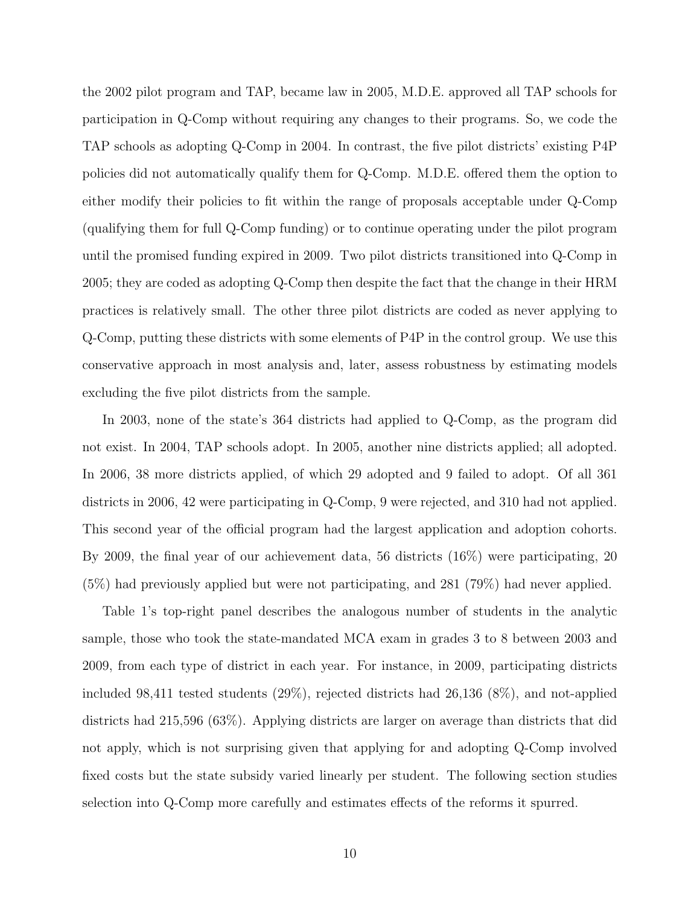the 2002 pilot program and TAP, became law in 2005, M.D.E. approved all TAP schools for participation in Q-Comp without requiring any changes to their programs. So, we code the TAP schools as adopting Q-Comp in 2004. In contrast, the five pilot districts' existing P4P policies did not automatically qualify them for Q-Comp. M.D.E. offered them the option to either modify their policies to fit within the range of proposals acceptable under Q-Comp (qualifying them for full Q-Comp funding) or to continue operating under the pilot program until the promised funding expired in 2009. Two pilot districts transitioned into Q-Comp in 2005; they are coded as adopting Q-Comp then despite the fact that the change in their HRM practices is relatively small. The other three pilot districts are coded as never applying to Q-Comp, putting these districts with some elements of P4P in the control group. We use this conservative approach in most analysis and, later, assess robustness by estimating models excluding the five pilot districts from the sample.

In 2003, none of the state's 364 districts had applied to Q-Comp, as the program did not exist. In 2004, TAP schools adopt. In 2005, another nine districts applied; all adopted. In 2006, 38 more districts applied, of which 29 adopted and 9 failed to adopt. Of all 361 districts in 2006, 42 were participating in Q-Comp, 9 were rejected, and 310 had not applied. This second year of the official program had the largest application and adoption cohorts. By 2009, the final year of our achievement data, 56 districts (16%) were participating, 20 (5%) had previously applied but were not participating, and 281 (79%) had never applied.

Table 1's top-right panel describes the analogous number of students in the analytic sample, those who took the state-mandated MCA exam in grades 3 to 8 between 2003 and 2009, from each type of district in each year. For instance, in 2009, participating districts included 98,411 tested students (29%), rejected districts had 26,136 (8%), and not-applied districts had 215,596 (63%). Applying districts are larger on average than districts that did not apply, which is not surprising given that applying for and adopting Q-Comp involved fixed costs but the state subsidy varied linearly per student. The following section studies selection into Q-Comp more carefully and estimates effects of the reforms it spurred.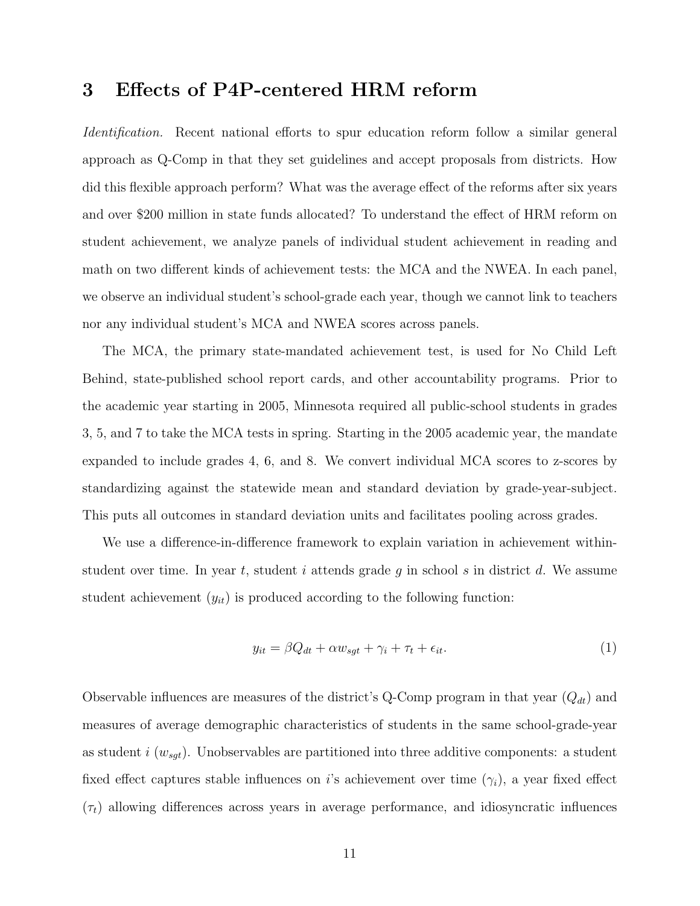#### 3 Effects of P4P-centered HRM reform

Identification. Recent national efforts to spur education reform follow a similar general approach as Q-Comp in that they set guidelines and accept proposals from districts. How did this flexible approach perform? What was the average effect of the reforms after six years and over \$200 million in state funds allocated? To understand the effect of HRM reform on student achievement, we analyze panels of individual student achievement in reading and math on two different kinds of achievement tests: the MCA and the NWEA. In each panel, we observe an individual student's school-grade each year, though we cannot link to teachers nor any individual student's MCA and NWEA scores across panels.

The MCA, the primary state-mandated achievement test, is used for No Child Left Behind, state-published school report cards, and other accountability programs. Prior to the academic year starting in 2005, Minnesota required all public-school students in grades 3, 5, and 7 to take the MCA tests in spring. Starting in the 2005 academic year, the mandate expanded to include grades 4, 6, and 8. We convert individual MCA scores to z-scores by standardizing against the statewide mean and standard deviation by grade-year-subject. This puts all outcomes in standard deviation units and facilitates pooling across grades.

We use a difference-in-difference framework to explain variation in achievement withinstudent over time. In year t, student i attends grade g in school s in district d. We assume student achievement  $(y_{it})$  is produced according to the following function:

$$
y_{it} = \beta Q_{dt} + \alpha w_{sgt} + \gamma_i + \tau_t + \epsilon_{it}.
$$
\n<sup>(1)</sup>

Observable influences are measures of the district's Q-Comp program in that year  $(Q_{dt})$  and measures of average demographic characteristics of students in the same school-grade-year as student i  $(w_{sgt})$ . Unobservables are partitioned into three additive components: a student fixed effect captures stable influences on i's achievement over time  $(\gamma_i)$ , a year fixed effect  $(\tau_t)$  allowing differences across years in average performance, and idiosyncratic influences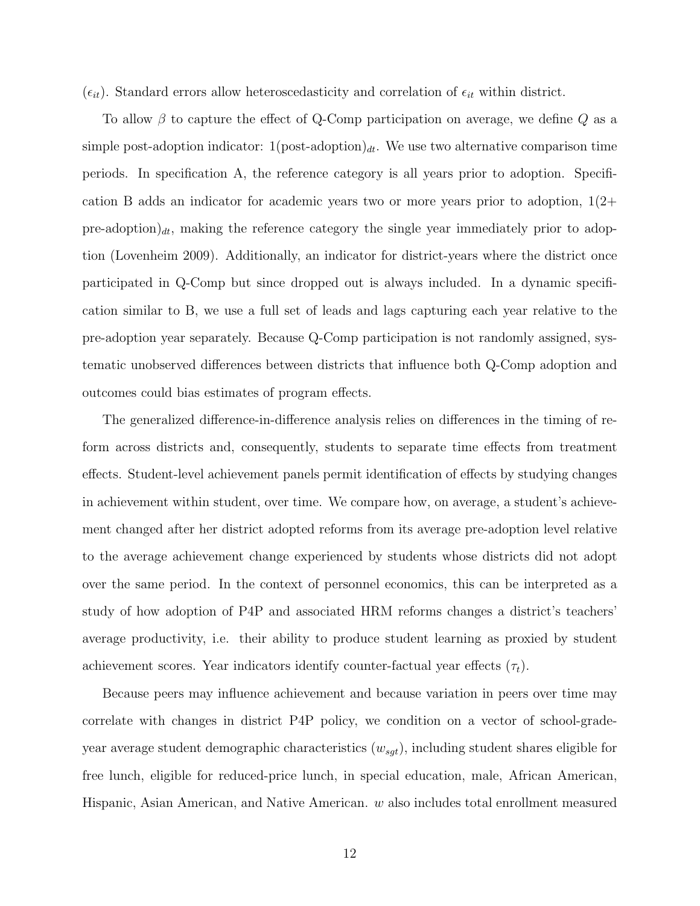$(\epsilon_{it})$ . Standard errors allow heteroscedasticity and correlation of  $\epsilon_{it}$  within district.

To allow  $\beta$  to capture the effect of Q-Comp participation on average, we define Q as a simple post-adoption indicator:  $1(\text{post-adoption})_{dt}$ . We use two alternative comparison time periods. In specification A, the reference category is all years prior to adoption. Specification B adds an indicator for academic years two or more years prior to adoption,  $1(2+)$ pre-adoption) $dt$ , making the reference category the single year immediately prior to adoption (Lovenheim 2009). Additionally, an indicator for district-years where the district once participated in Q-Comp but since dropped out is always included. In a dynamic specification similar to B, we use a full set of leads and lags capturing each year relative to the pre-adoption year separately. Because Q-Comp participation is not randomly assigned, systematic unobserved differences between districts that influence both Q-Comp adoption and outcomes could bias estimates of program effects.

The generalized difference-in-difference analysis relies on differences in the timing of reform across districts and, consequently, students to separate time effects from treatment effects. Student-level achievement panels permit identification of effects by studying changes in achievement within student, over time. We compare how, on average, a student's achievement changed after her district adopted reforms from its average pre-adoption level relative to the average achievement change experienced by students whose districts did not adopt over the same period. In the context of personnel economics, this can be interpreted as a study of how adoption of P4P and associated HRM reforms changes a district's teachers' average productivity, i.e. their ability to produce student learning as proxied by student achievement scores. Year indicators identify counter-factual year effects  $(\tau_t)$ .

Because peers may influence achievement and because variation in peers over time may correlate with changes in district P4P policy, we condition on a vector of school-gradeyear average student demographic characteristics  $(w_{sgt})$ , including student shares eligible for free lunch, eligible for reduced-price lunch, in special education, male, African American, Hispanic, Asian American, and Native American. w also includes total enrollment measured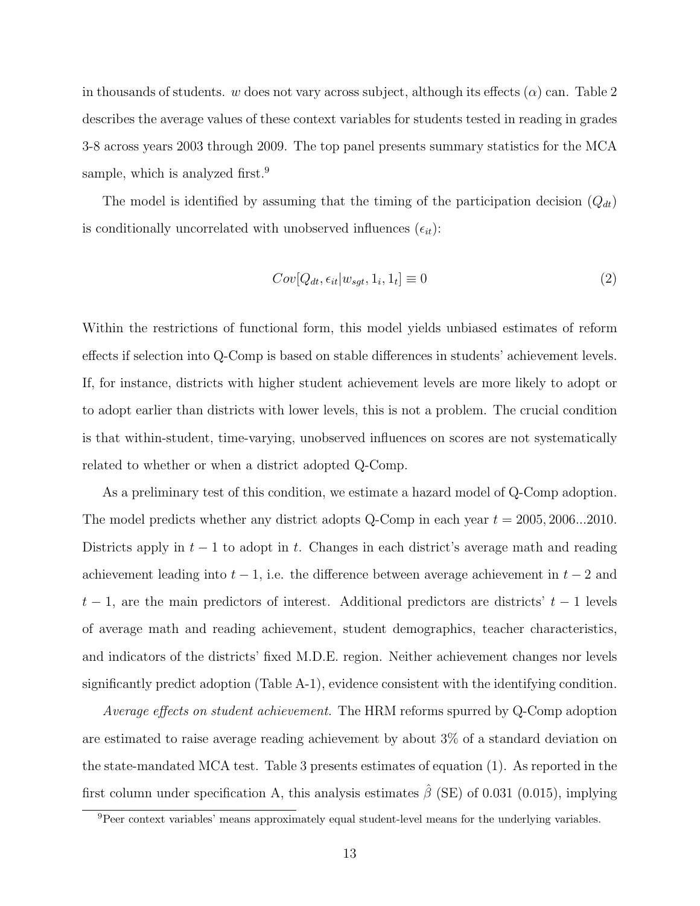in thousands of students. w does not vary across subject, although its effects  $(\alpha)$  can. Table 2 describes the average values of these context variables for students tested in reading in grades 3-8 across years 2003 through 2009. The top panel presents summary statistics for the MCA sample, which is analyzed first.<sup>9</sup>

The model is identified by assuming that the timing of the participation decision  $(Q_{dt})$ is conditionally uncorrelated with unobserved influences  $(\epsilon_{it})$ :

$$
Cov[Q_{dt}, \epsilon_{it} | w_{sgt}, 1_i, 1_t] \equiv 0 \tag{2}
$$

Within the restrictions of functional form, this model yields unbiased estimates of reform effects if selection into Q-Comp is based on stable differences in students' achievement levels. If, for instance, districts with higher student achievement levels are more likely to adopt or to adopt earlier than districts with lower levels, this is not a problem. The crucial condition is that within-student, time-varying, unobserved influences on scores are not systematically related to whether or when a district adopted Q-Comp.

As a preliminary test of this condition, we estimate a hazard model of Q-Comp adoption. The model predicts whether any district adopts Q-Comp in each year  $t = 2005, 2006...2010$ . Districts apply in  $t - 1$  to adopt in t. Changes in each district's average math and reading achievement leading into  $t - 1$ , i.e. the difference between average achievement in  $t - 2$  and  $t - 1$ , are the main predictors of interest. Additional predictors are districts'  $t - 1$  levels of average math and reading achievement, student demographics, teacher characteristics, and indicators of the districts' fixed M.D.E. region. Neither achievement changes nor levels significantly predict adoption (Table A-1), evidence consistent with the identifying condition.

Average effects on student achievement. The HRM reforms spurred by Q-Comp adoption are estimated to raise average reading achievement by about 3% of a standard deviation on the state-mandated MCA test. Table 3 presents estimates of equation (1). As reported in the first column under specification A, this analysis estimates  $\hat{\beta}$  (SE) of 0.031 (0.015), implying

<sup>&</sup>lt;sup>9</sup>Peer context variables' means approximately equal student-level means for the underlying variables.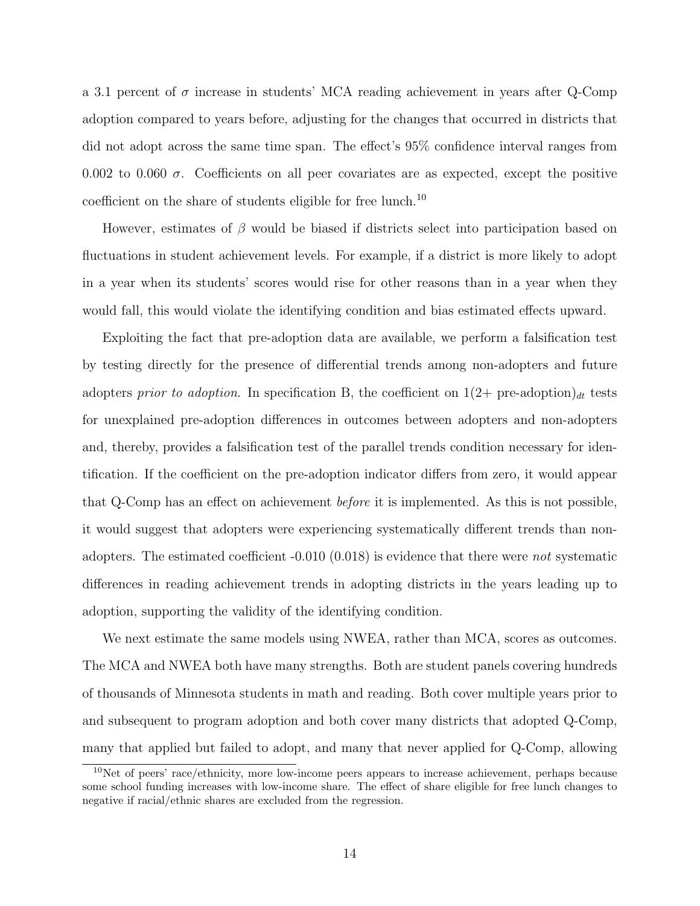a 3.1 percent of  $\sigma$  increase in students' MCA reading achievement in years after Q-Comp adoption compared to years before, adjusting for the changes that occurred in districts that did not adopt across the same time span. The effect's 95% confidence interval ranges from 0.002 to 0.060  $\sigma$ . Coefficients on all peer covariates are as expected, except the positive coefficient on the share of students eligible for free lunch.<sup>10</sup>

However, estimates of  $\beta$  would be biased if districts select into participation based on fluctuations in student achievement levels. For example, if a district is more likely to adopt in a year when its students' scores would rise for other reasons than in a year when they would fall, this would violate the identifying condition and bias estimated effects upward.

Exploiting the fact that pre-adoption data are available, we perform a falsification test by testing directly for the presence of differential trends among non-adopters and future adopters prior to adoption. In specification B, the coefficient on  $1(2+$  pre-adoption)<sub>dt</sub> tests for unexplained pre-adoption differences in outcomes between adopters and non-adopters and, thereby, provides a falsification test of the parallel trends condition necessary for identification. If the coefficient on the pre-adoption indicator differs from zero, it would appear that Q-Comp has an effect on achievement before it is implemented. As this is not possible, it would suggest that adopters were experiencing systematically different trends than nonadopters. The estimated coefficient  $-0.010$  (0.018) is evidence that there were *not* systematic differences in reading achievement trends in adopting districts in the years leading up to adoption, supporting the validity of the identifying condition.

We next estimate the same models using NWEA, rather than MCA, scores as outcomes. The MCA and NWEA both have many strengths. Both are student panels covering hundreds of thousands of Minnesota students in math and reading. Both cover multiple years prior to and subsequent to program adoption and both cover many districts that adopted Q-Comp, many that applied but failed to adopt, and many that never applied for Q-Comp, allowing

<sup>10</sup>Net of peers' race/ethnicity, more low-income peers appears to increase achievement, perhaps because some school funding increases with low-income share. The effect of share eligible for free lunch changes to negative if racial/ethnic shares are excluded from the regression.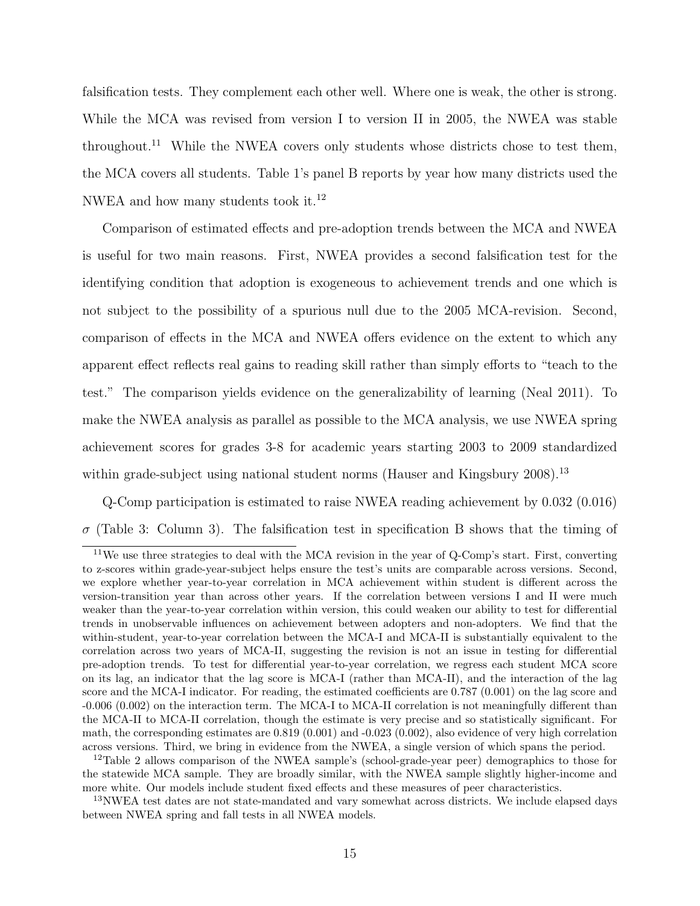falsification tests. They complement each other well. Where one is weak, the other is strong. While the MCA was revised from version I to version II in 2005, the NWEA was stable throughout.<sup>11</sup> While the NWEA covers only students whose districts chose to test them, the MCA covers all students. Table 1's panel B reports by year how many districts used the NWEA and how many students took it.<sup>12</sup>

Comparison of estimated effects and pre-adoption trends between the MCA and NWEA is useful for two main reasons. First, NWEA provides a second falsification test for the identifying condition that adoption is exogeneous to achievement trends and one which is not subject to the possibility of a spurious null due to the 2005 MCA-revision. Second, comparison of effects in the MCA and NWEA offers evidence on the extent to which any apparent effect reflects real gains to reading skill rather than simply efforts to "teach to the test." The comparison yields evidence on the generalizability of learning (Neal 2011). To make the NWEA analysis as parallel as possible to the MCA analysis, we use NWEA spring achievement scores for grades 3-8 for academic years starting 2003 to 2009 standardized within grade-subject using national student norms (Hauser and Kingsbury 2008).<sup>13</sup>

Q-Comp participation is estimated to raise NWEA reading achievement by 0.032 (0.016)  $\sigma$  (Table 3: Column 3). The falsification test in specification B shows that the timing of

<sup>&</sup>lt;sup>11</sup>We use three strategies to deal with the MCA revision in the year of Q-Comp's start. First, converting to z-scores within grade-year-subject helps ensure the test's units are comparable across versions. Second, we explore whether year-to-year correlation in MCA achievement within student is different across the version-transition year than across other years. If the correlation between versions I and II were much weaker than the year-to-year correlation within version, this could weaken our ability to test for differential trends in unobservable influences on achievement between adopters and non-adopters. We find that the within-student, year-to-year correlation between the MCA-I and MCA-II is substantially equivalent to the correlation across two years of MCA-II, suggesting the revision is not an issue in testing for differential pre-adoption trends. To test for differential year-to-year correlation, we regress each student MCA score on its lag, an indicator that the lag score is MCA-I (rather than MCA-II), and the interaction of the lag score and the MCA-I indicator. For reading, the estimated coefficients are 0.787 (0.001) on the lag score and -0.006 (0.002) on the interaction term. The MCA-I to MCA-II correlation is not meaningfully different than the MCA-II to MCA-II correlation, though the estimate is very precise and so statistically significant. For math, the corresponding estimates are 0.819 (0.001) and -0.023 (0.002), also evidence of very high correlation across versions. Third, we bring in evidence from the NWEA, a single version of which spans the period.

<sup>12</sup>Table 2 allows comparison of the NWEA sample's (school-grade-year peer) demographics to those for the statewide MCA sample. They are broadly similar, with the NWEA sample slightly higher-income and more white. Our models include student fixed effects and these measures of peer characteristics.

<sup>&</sup>lt;sup>13</sup>NWEA test dates are not state-mandated and vary somewhat across districts. We include elapsed days between NWEA spring and fall tests in all NWEA models.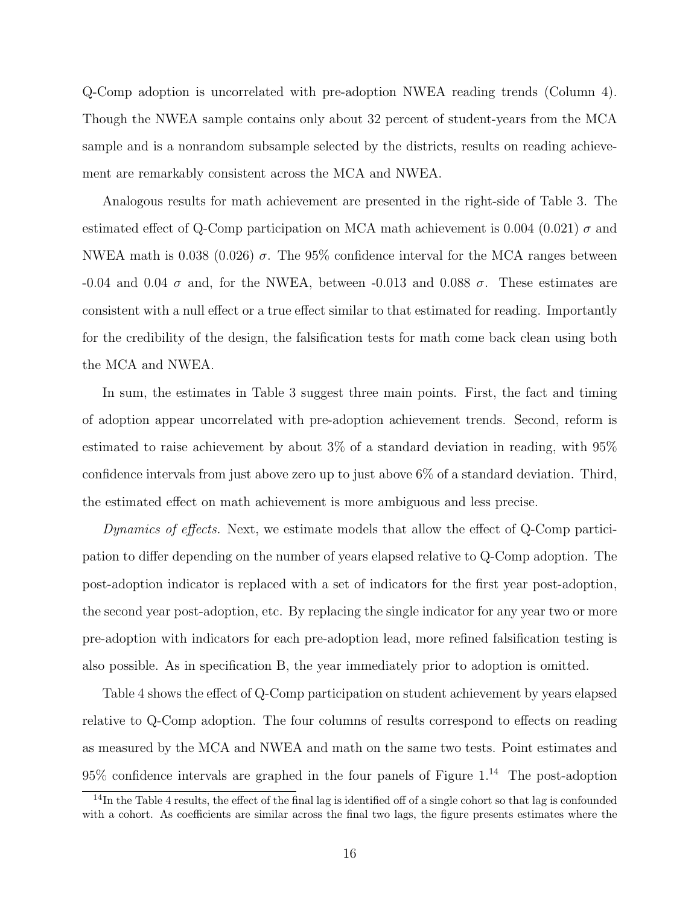Q-Comp adoption is uncorrelated with pre-adoption NWEA reading trends (Column 4). Though the NWEA sample contains only about 32 percent of student-years from the MCA sample and is a nonrandom subsample selected by the districts, results on reading achievement are remarkably consistent across the MCA and NWEA.

Analogous results for math achievement are presented in the right-side of Table 3. The estimated effect of Q-Comp participation on MCA math achievement is 0.004 (0.021)  $\sigma$  and NWEA math is 0.038 (0.026)  $\sigma$ . The 95% confidence interval for the MCA ranges between -0.04 and 0.04  $\sigma$  and, for the NWEA, between -0.013 and 0.088  $\sigma$ . These estimates are consistent with a null effect or a true effect similar to that estimated for reading. Importantly for the credibility of the design, the falsification tests for math come back clean using both the MCA and NWEA.

In sum, the estimates in Table 3 suggest three main points. First, the fact and timing of adoption appear uncorrelated with pre-adoption achievement trends. Second, reform is estimated to raise achievement by about 3% of a standard deviation in reading, with 95% confidence intervals from just above zero up to just above 6% of a standard deviation. Third, the estimated effect on math achievement is more ambiguous and less precise.

Dynamics of effects. Next, we estimate models that allow the effect of Q-Comp participation to differ depending on the number of years elapsed relative to Q-Comp adoption. The post-adoption indicator is replaced with a set of indicators for the first year post-adoption, the second year post-adoption, etc. By replacing the single indicator for any year two or more pre-adoption with indicators for each pre-adoption lead, more refined falsification testing is also possible. As in specification B, the year immediately prior to adoption is omitted.

Table 4 shows the effect of Q-Comp participation on student achievement by years elapsed relative to Q-Comp adoption. The four columns of results correspond to effects on reading as measured by the MCA and NWEA and math on the same two tests. Point estimates and  $95\%$  confidence intervals are graphed in the four panels of Figure 1.<sup>14</sup> The post-adoption

 $14$ In the Table 4 results, the effect of the final lag is identified off of a single cohort so that lag is confounded with a cohort. As coefficients are similar across the final two lags, the figure presents estimates where the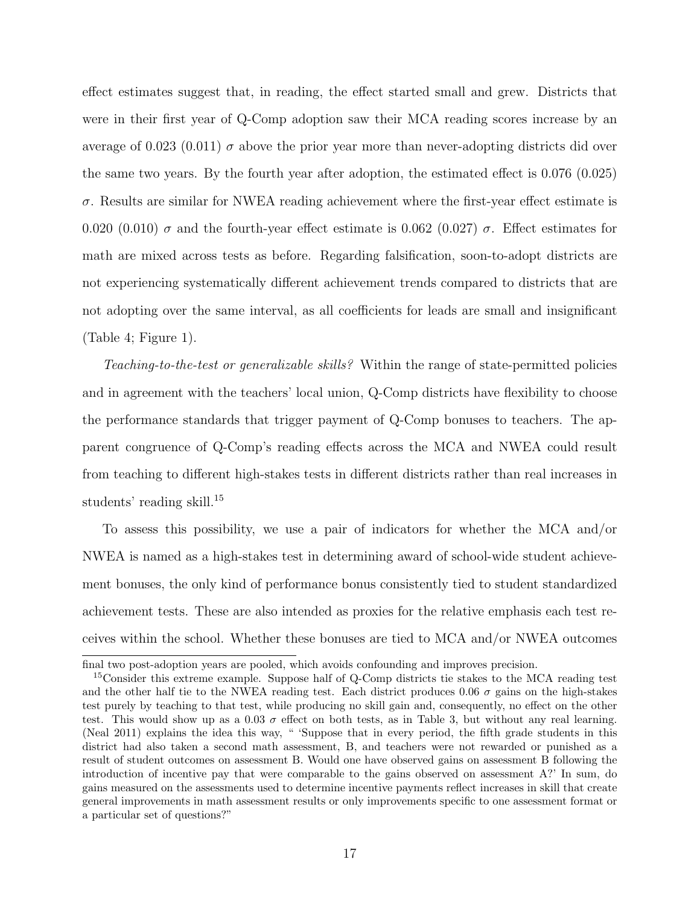effect estimates suggest that, in reading, the effect started small and grew. Districts that were in their first year of Q-Comp adoption saw their MCA reading scores increase by an average of 0.023 (0.011)  $\sigma$  above the prior year more than never-adopting districts did over the same two years. By the fourth year after adoption, the estimated effect is 0.076 (0.025)  $\sigma$ . Results are similar for NWEA reading achievement where the first-year effect estimate is 0.020 (0.010)  $\sigma$  and the fourth-year effect estimate is 0.062 (0.027)  $\sigma$ . Effect estimates for math are mixed across tests as before. Regarding falsification, soon-to-adopt districts are not experiencing systematically different achievement trends compared to districts that are not adopting over the same interval, as all coefficients for leads are small and insignificant (Table 4; Figure 1).

Teaching-to-the-test or generalizable skills? Within the range of state-permitted policies and in agreement with the teachers' local union, Q-Comp districts have flexibility to choose the performance standards that trigger payment of Q-Comp bonuses to teachers. The apparent congruence of Q-Comp's reading effects across the MCA and NWEA could result from teaching to different high-stakes tests in different districts rather than real increases in students' reading skill.<sup>15</sup>

To assess this possibility, we use a pair of indicators for whether the MCA and/or NWEA is named as a high-stakes test in determining award of school-wide student achievement bonuses, the only kind of performance bonus consistently tied to student standardized achievement tests. These are also intended as proxies for the relative emphasis each test receives within the school. Whether these bonuses are tied to MCA and/or NWEA outcomes

final two post-adoption years are pooled, which avoids confounding and improves precision.

<sup>&</sup>lt;sup>15</sup>Consider this extreme example. Suppose half of Q-Comp districts tie stakes to the MCA reading test and the other half tie to the NWEA reading test. Each district produces 0.06  $\sigma$  gains on the high-stakes test purely by teaching to that test, while producing no skill gain and, consequently, no effect on the other test. This would show up as a 0.03  $\sigma$  effect on both tests, as in Table 3, but without any real learning. (Neal 2011) explains the idea this way, " 'Suppose that in every period, the fifth grade students in this district had also taken a second math assessment, B, and teachers were not rewarded or punished as a result of student outcomes on assessment B. Would one have observed gains on assessment B following the introduction of incentive pay that were comparable to the gains observed on assessment A?' In sum, do gains measured on the assessments used to determine incentive payments reflect increases in skill that create general improvements in math assessment results or only improvements specific to one assessment format or a particular set of questions?"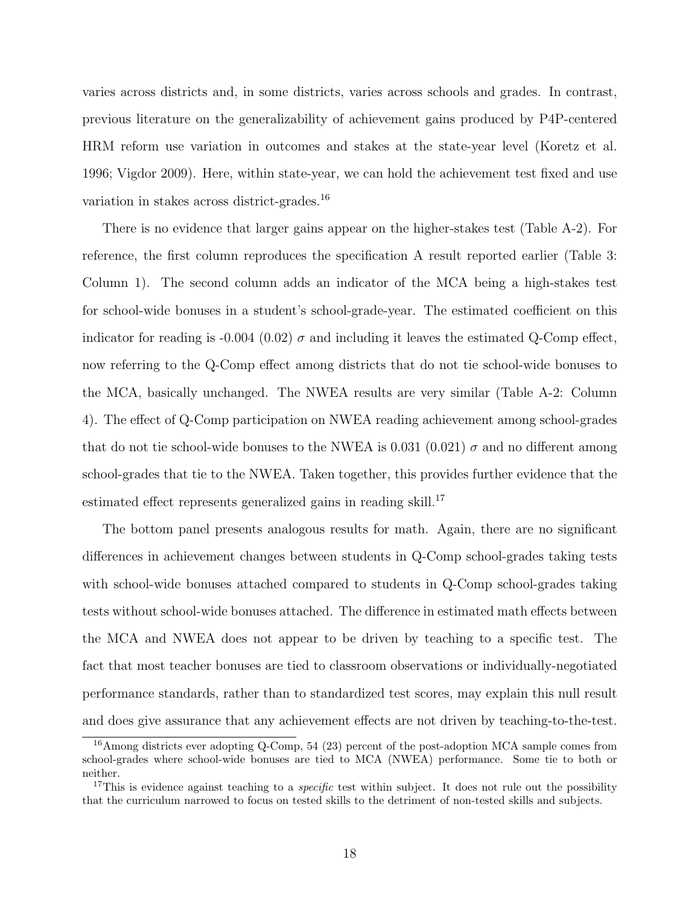varies across districts and, in some districts, varies across schools and grades. In contrast, previous literature on the generalizability of achievement gains produced by P4P-centered HRM reform use variation in outcomes and stakes at the state-year level (Koretz et al. 1996; Vigdor 2009). Here, within state-year, we can hold the achievement test fixed and use variation in stakes across district-grades.<sup>16</sup>

There is no evidence that larger gains appear on the higher-stakes test (Table A-2). For reference, the first column reproduces the specification A result reported earlier (Table 3: Column 1). The second column adds an indicator of the MCA being a high-stakes test for school-wide bonuses in a student's school-grade-year. The estimated coefficient on this indicator for reading is -0.004 (0.02)  $\sigma$  and including it leaves the estimated Q-Comp effect, now referring to the Q-Comp effect among districts that do not tie school-wide bonuses to the MCA, basically unchanged. The NWEA results are very similar (Table A-2: Column 4). The effect of Q-Comp participation on NWEA reading achievement among school-grades that do not tie school-wide bonuses to the NWEA is 0.031 (0.021)  $\sigma$  and no different among school-grades that tie to the NWEA. Taken together, this provides further evidence that the estimated effect represents generalized gains in reading skill.<sup>17</sup>

The bottom panel presents analogous results for math. Again, there are no significant differences in achievement changes between students in Q-Comp school-grades taking tests with school-wide bonuses attached compared to students in Q-Comp school-grades taking tests without school-wide bonuses attached. The difference in estimated math effects between the MCA and NWEA does not appear to be driven by teaching to a specific test. The fact that most teacher bonuses are tied to classroom observations or individually-negotiated performance standards, rather than to standardized test scores, may explain this null result and does give assurance that any achievement effects are not driven by teaching-to-the-test.

<sup>&</sup>lt;sup>16</sup>Among districts ever adopting Q-Comp, 54 (23) percent of the post-adoption MCA sample comes from school-grades where school-wide bonuses are tied to MCA (NWEA) performance. Some tie to both or neither.

<sup>&</sup>lt;sup>17</sup>This is evidence against teaching to a *specific* test within subject. It does not rule out the possibility that the curriculum narrowed to focus on tested skills to the detriment of non-tested skills and subjects.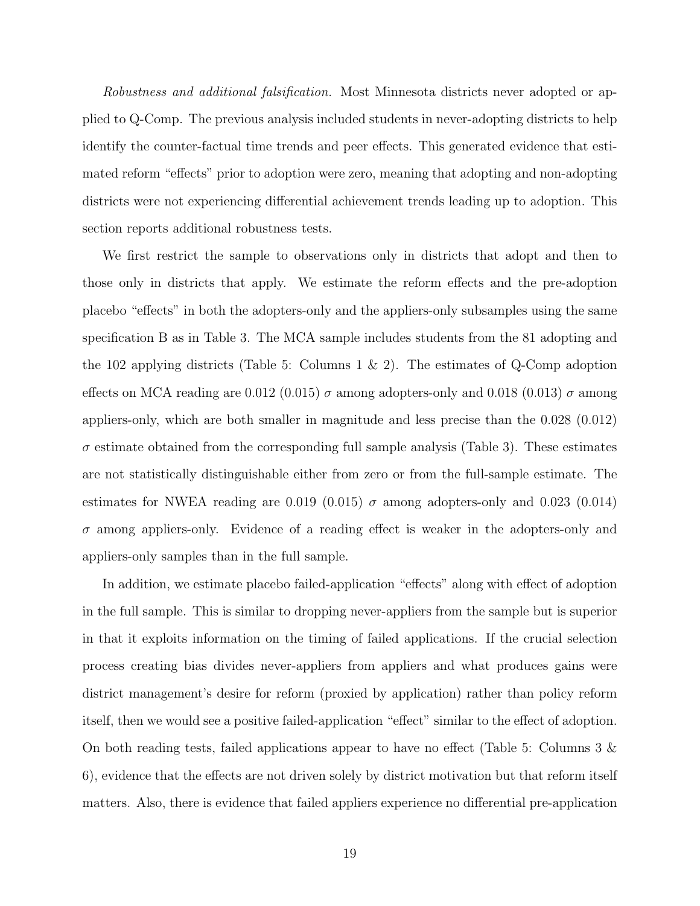Robustness and additional falsification. Most Minnesota districts never adopted or applied to Q-Comp. The previous analysis included students in never-adopting districts to help identify the counter-factual time trends and peer effects. This generated evidence that estimated reform "effects" prior to adoption were zero, meaning that adopting and non-adopting districts were not experiencing differential achievement trends leading up to adoption. This section reports additional robustness tests.

We first restrict the sample to observations only in districts that adopt and then to those only in districts that apply. We estimate the reform effects and the pre-adoption placebo "effects" in both the adopters-only and the appliers-only subsamples using the same specification B as in Table 3. The MCA sample includes students from the 81 adopting and the 102 applying districts (Table 5: Columns 1  $\&$  2). The estimates of Q-Comp adoption effects on MCA reading are 0.012 (0.015)  $\sigma$  among adopters-only and 0.018 (0.013)  $\sigma$  among appliers-only, which are both smaller in magnitude and less precise than the 0.028 (0.012)  $\sigma$  estimate obtained from the corresponding full sample analysis (Table 3). These estimates are not statistically distinguishable either from zero or from the full-sample estimate. The estimates for NWEA reading are 0.019 (0.015)  $\sigma$  among adopters-only and 0.023 (0.014)  $\sigma$  among appliers-only. Evidence of a reading effect is weaker in the adopters-only and appliers-only samples than in the full sample.

In addition, we estimate placebo failed-application "effects" along with effect of adoption in the full sample. This is similar to dropping never-appliers from the sample but is superior in that it exploits information on the timing of failed applications. If the crucial selection process creating bias divides never-appliers from appliers and what produces gains were district management's desire for reform (proxied by application) rather than policy reform itself, then we would see a positive failed-application "effect" similar to the effect of adoption. On both reading tests, failed applications appear to have no effect (Table 5: Columns 3  $\&$ 6), evidence that the effects are not driven solely by district motivation but that reform itself matters. Also, there is evidence that failed appliers experience no differential pre-application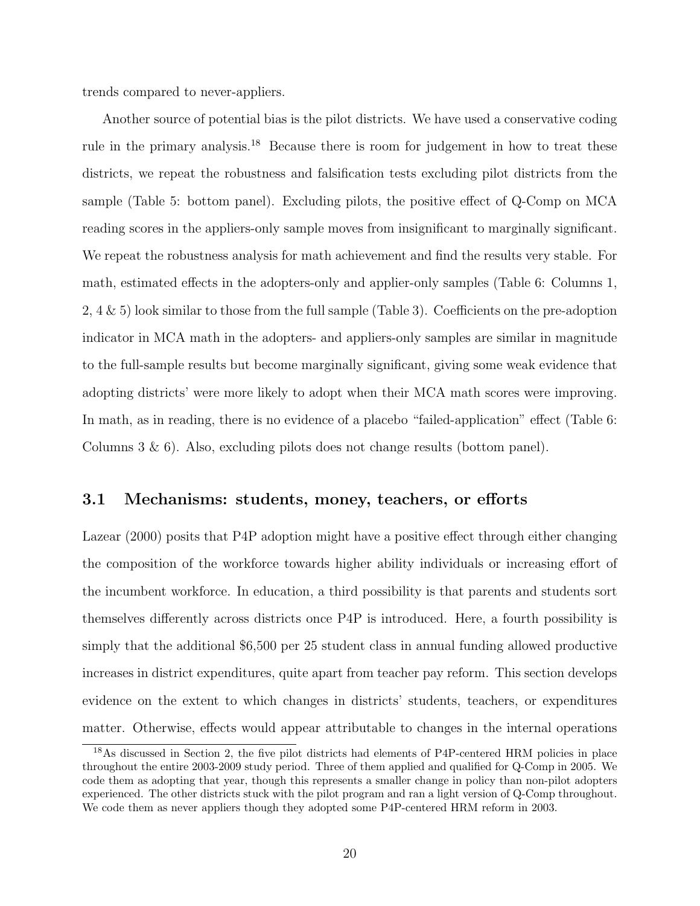trends compared to never-appliers.

Another source of potential bias is the pilot districts. We have used a conservative coding rule in the primary analysis.<sup>18</sup> Because there is room for judgement in how to treat these districts, we repeat the robustness and falsification tests excluding pilot districts from the sample (Table 5: bottom panel). Excluding pilots, the positive effect of Q-Comp on MCA reading scores in the appliers-only sample moves from insignificant to marginally significant. We repeat the robustness analysis for math achievement and find the results very stable. For math, estimated effects in the adopters-only and applier-only samples (Table 6: Columns 1, 2, 4 & 5) look similar to those from the full sample (Table 3). Coefficients on the pre-adoption indicator in MCA math in the adopters- and appliers-only samples are similar in magnitude to the full-sample results but become marginally significant, giving some weak evidence that adopting districts' were more likely to adopt when their MCA math scores were improving. In math, as in reading, there is no evidence of a placebo "failed-application" effect (Table 6: Columns  $3 \& 6$ ). Also, excluding pilots does not change results (bottom panel).

#### 3.1 Mechanisms: students, money, teachers, or efforts

Lazear (2000) posits that P4P adoption might have a positive effect through either changing the composition of the workforce towards higher ability individuals or increasing effort of the incumbent workforce. In education, a third possibility is that parents and students sort themselves differently across districts once P4P is introduced. Here, a fourth possibility is simply that the additional \$6,500 per 25 student class in annual funding allowed productive increases in district expenditures, quite apart from teacher pay reform. This section develops evidence on the extent to which changes in districts' students, teachers, or expenditures matter. Otherwise, effects would appear attributable to changes in the internal operations

<sup>18</sup>As discussed in Section 2, the five pilot districts had elements of P4P-centered HRM policies in place throughout the entire 2003-2009 study period. Three of them applied and qualified for Q-Comp in 2005. We code them as adopting that year, though this represents a smaller change in policy than non-pilot adopters experienced. The other districts stuck with the pilot program and ran a light version of Q-Comp throughout. We code them as never appliers though they adopted some P4P-centered HRM reform in 2003.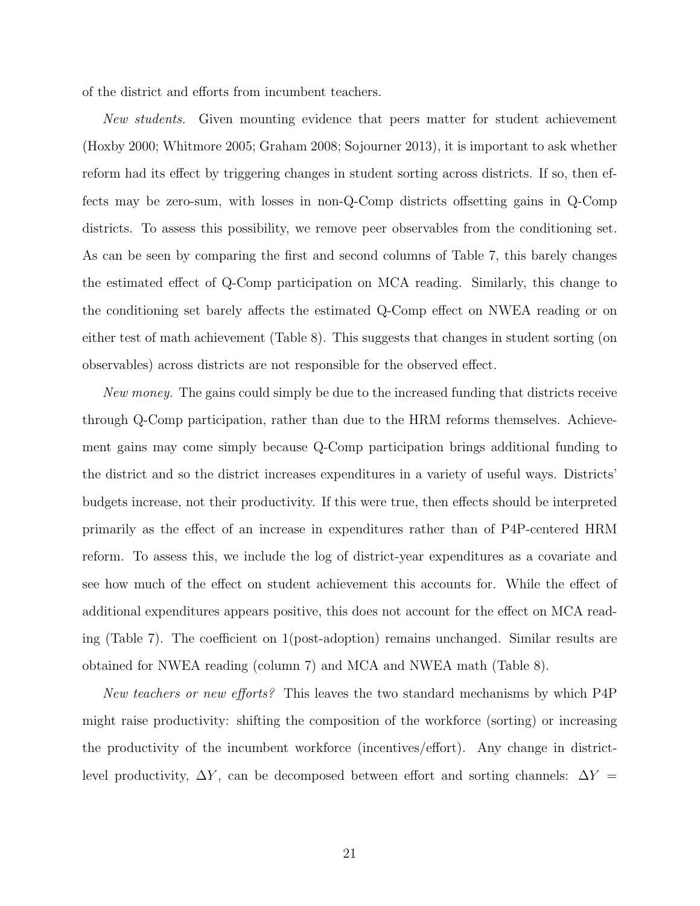of the district and efforts from incumbent teachers.

New students. Given mounting evidence that peers matter for student achievement (Hoxby 2000; Whitmore 2005; Graham 2008; Sojourner 2013), it is important to ask whether reform had its effect by triggering changes in student sorting across districts. If so, then effects may be zero-sum, with losses in non-Q-Comp districts offsetting gains in Q-Comp districts. To assess this possibility, we remove peer observables from the conditioning set. As can be seen by comparing the first and second columns of Table 7, this barely changes the estimated effect of Q-Comp participation on MCA reading. Similarly, this change to the conditioning set barely affects the estimated Q-Comp effect on NWEA reading or on either test of math achievement (Table 8). This suggests that changes in student sorting (on observables) across districts are not responsible for the observed effect.

New money. The gains could simply be due to the increased funding that districts receive through Q-Comp participation, rather than due to the HRM reforms themselves. Achievement gains may come simply because Q-Comp participation brings additional funding to the district and so the district increases expenditures in a variety of useful ways. Districts' budgets increase, not their productivity. If this were true, then effects should be interpreted primarily as the effect of an increase in expenditures rather than of P4P-centered HRM reform. To assess this, we include the log of district-year expenditures as a covariate and see how much of the effect on student achievement this accounts for. While the effect of additional expenditures appears positive, this does not account for the effect on MCA reading (Table 7). The coefficient on 1(post-adoption) remains unchanged. Similar results are obtained for NWEA reading (column 7) and MCA and NWEA math (Table 8).

New teachers or new efforts? This leaves the two standard mechanisms by which P4P might raise productivity: shifting the composition of the workforce (sorting) or increasing the productivity of the incumbent workforce (incentives/effort). Any change in districtlevel productivity,  $\Delta Y$ , can be decomposed between effort and sorting channels:  $\Delta Y =$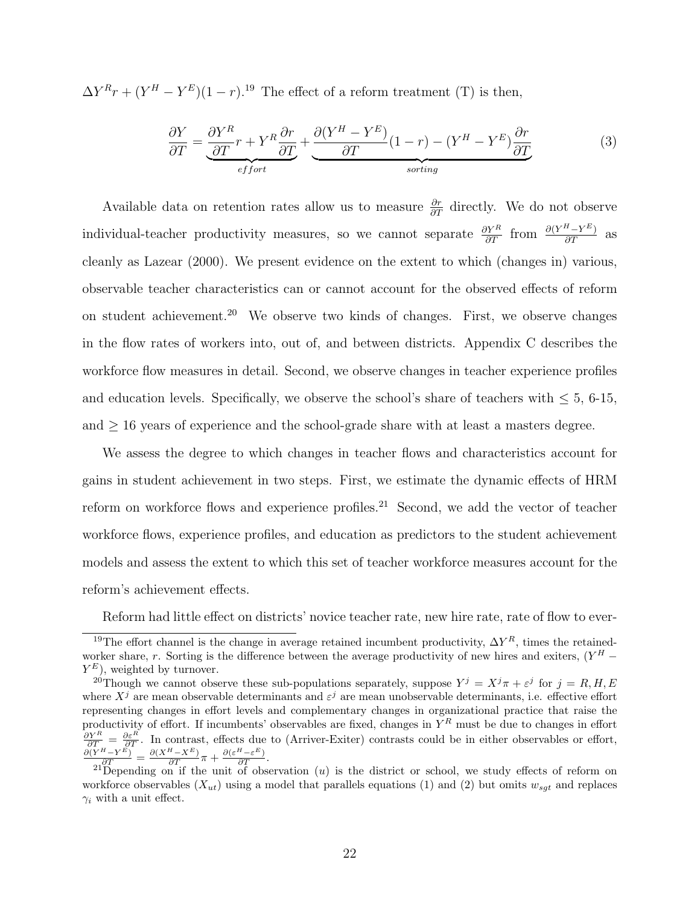$\Delta Y^{R}r + (Y^{H} - Y^{E})(1 - r)^{19}$  The effect of a reform treatment (T) is then,

$$
\frac{\partial Y}{\partial T} = \underbrace{\frac{\partial Y^R}{\partial T}r + Y^R \frac{\partial r}{\partial T}}_{effort} + \underbrace{\frac{\partial (Y^H - Y^E)}{\partial T}(1 - r) - (Y^H - Y^E) \frac{\partial r}{\partial T}}_{sorting}
$$
(3)

Available data on retention rates allow us to measure  $\frac{\partial r}{\partial T}$  directly. We do not observe individual-teacher productivity measures, so we cannot separate  $\frac{\partial Y^R}{\partial T}$  from  $\frac{\partial (Y^H - Y^E)}{\partial T}$  as cleanly as Lazear (2000). We present evidence on the extent to which (changes in) various, observable teacher characteristics can or cannot account for the observed effects of reform on student achievement.<sup>20</sup> We observe two kinds of changes. First, we observe changes in the flow rates of workers into, out of, and between districts. Appendix C describes the workforce flow measures in detail. Second, we observe changes in teacher experience profiles and education levels. Specifically, we observe the school's share of teachers with  $\leq 5$ , 6-15, and  $\geq$  16 years of experience and the school-grade share with at least a masters degree.

We assess the degree to which changes in teacher flows and characteristics account for gains in student achievement in two steps. First, we estimate the dynamic effects of HRM reform on workforce flows and experience profiles.<sup>21</sup> Second, we add the vector of teacher workforce flows, experience profiles, and education as predictors to the student achievement models and assess the extent to which this set of teacher workforce measures account for the reform's achievement effects.

Reform had little effect on districts' novice teacher rate, new hire rate, rate of flow to ever-

<sup>&</sup>lt;sup>19</sup>The effort channel is the change in average retained incumbent productivity,  $\Delta Y^R$ , times the retainedworker share, r. Sorting is the difference between the average productivity of new hires and exiters,  $(Y^H Y^E$ ), weighted by turnover.

<sup>&</sup>lt;sup>20</sup>Though we cannot observe these sub-populations separately, suppose  $Y^j = X^j \pi + \varepsilon^j$  for  $j = R, H, E$ where  $X^j$  are mean observable determinants and  $\varepsilon^j$  are mean unobservable determinants, i.e. effective effort representing changes in effort levels and complementary changes in organizational practice that raise the productivity of effort. If incumbents' observables are fixed, changes in  $Y^R$  must be due to changes in effort  $\frac{\partial Y^R}{\partial T} = \frac{\partial \varepsilon^R}{\partial T}$ . In contrast, effects due to (Arriver-Exiter) contrasts could be in either observables or effort,<br>  $\frac{\partial (Y^H - Y^E)}{\partial T} = \frac{\partial (X^H - X^E)}{\partial T} \pi + \frac{\partial (\varepsilon^H - \varepsilon^E)}{\partial T}$ .

<sup>&</sup>lt;sup>21</sup>Depending on if the unit of observation  $(u)$  is the district or school, we study effects of reform on workforce observables  $(X_{ut})$  using a model that parallels equations (1) and (2) but omits  $w_{sgt}$  and replaces  $\gamma_i$  with a unit effect.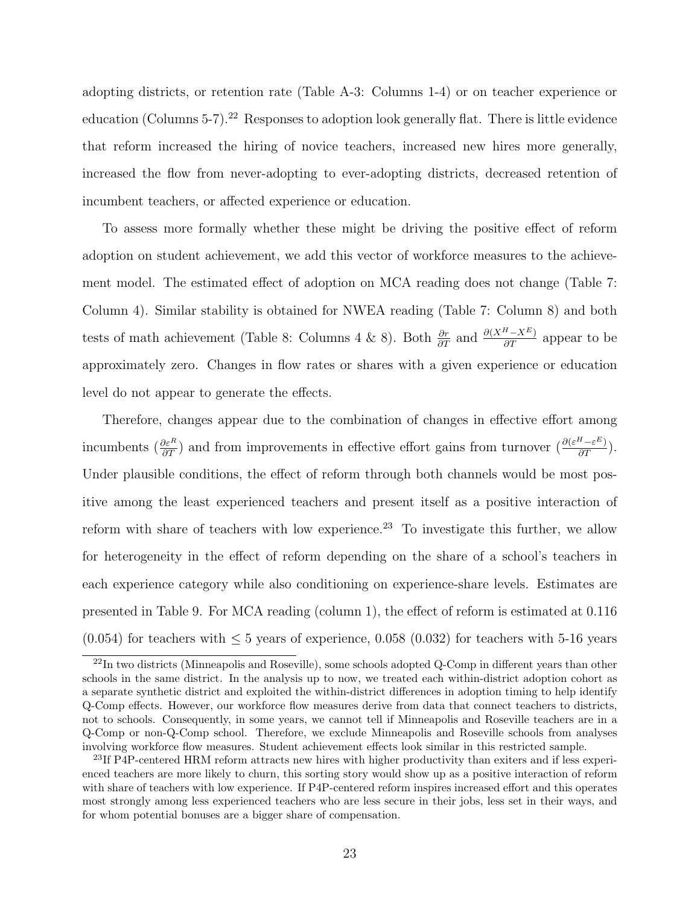adopting districts, or retention rate (Table A-3: Columns 1-4) or on teacher experience or education (Columns 5-7).<sup>22</sup> Responses to adoption look generally flat. There is little evidence that reform increased the hiring of novice teachers, increased new hires more generally, increased the flow from never-adopting to ever-adopting districts, decreased retention of incumbent teachers, or affected experience or education.

To assess more formally whether these might be driving the positive effect of reform adoption on student achievement, we add this vector of workforce measures to the achievement model. The estimated effect of adoption on MCA reading does not change (Table 7: Column 4). Similar stability is obtained for NWEA reading (Table 7: Column 8) and both tests of math achievement (Table 8: Columns 4 & 8). Both  $\frac{\partial r}{\partial T}$  and  $\frac{\partial (X^H - X^E)}{\partial T}$  appear to be approximately zero. Changes in flow rates or shares with a given experience or education level do not appear to generate the effects.

Therefore, changes appear due to the combination of changes in effective effort among incumbents  $(\frac{\partial \varepsilon^R}{\partial T})$  and from improvements in effective effort gains from turnover  $(\frac{\partial (\varepsilon^H - \varepsilon^E)}{\partial T})$ . Under plausible conditions, the effect of reform through both channels would be most positive among the least experienced teachers and present itself as a positive interaction of reform with share of teachers with low experience.<sup>23</sup> To investigate this further, we allow for heterogeneity in the effect of reform depending on the share of a school's teachers in each experience category while also conditioning on experience-share levels. Estimates are presented in Table 9. For MCA reading (column 1), the effect of reform is estimated at 0.116  $(0.054)$  for teachers with  $\leq 5$  years of experience, 0.058 (0.032) for teachers with 5-16 years

 $22$ In two districts (Minneapolis and Roseville), some schools adopted Q-Comp in different years than other schools in the same district. In the analysis up to now, we treated each within-district adoption cohort as a separate synthetic district and exploited the within-district differences in adoption timing to help identify Q-Comp effects. However, our workforce flow measures derive from data that connect teachers to districts, not to schools. Consequently, in some years, we cannot tell if Minneapolis and Roseville teachers are in a Q-Comp or non-Q-Comp school. Therefore, we exclude Minneapolis and Roseville schools from analyses involving workforce flow measures. Student achievement effects look similar in this restricted sample.

<sup>&</sup>lt;sup>23</sup>If P4P-centered HRM reform attracts new hires with higher productivity than exiters and if less experienced teachers are more likely to churn, this sorting story would show up as a positive interaction of reform with share of teachers with low experience. If P4P-centered reform inspires increased effort and this operates most strongly among less experienced teachers who are less secure in their jobs, less set in their ways, and for whom potential bonuses are a bigger share of compensation.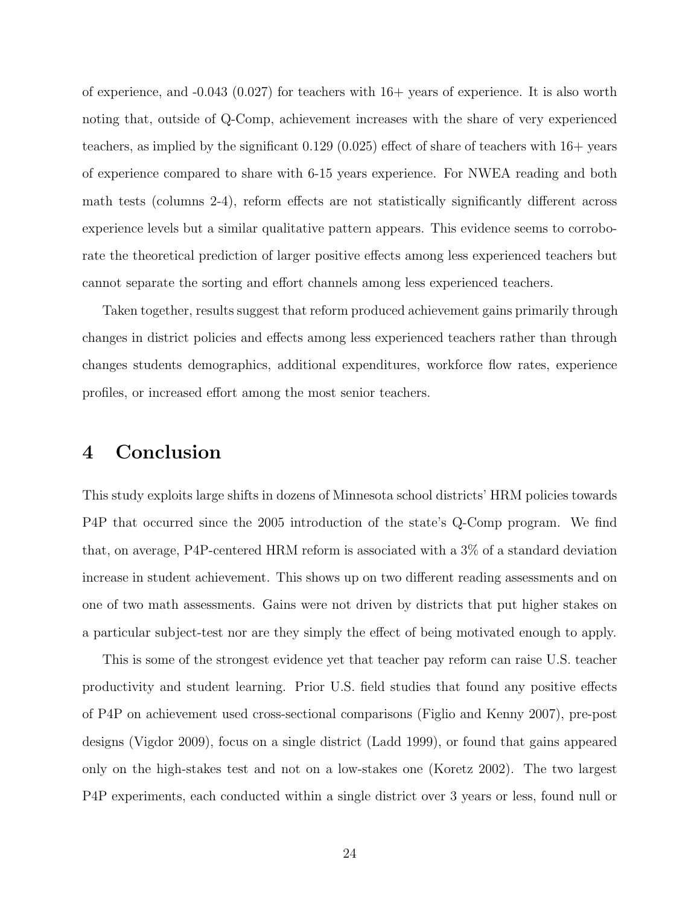of experience, and  $-0.043$  (0.027) for teachers with  $16+$  years of experience. It is also worth noting that, outside of Q-Comp, achievement increases with the share of very experienced teachers, as implied by the significant 0.129 (0.025) effect of share of teachers with 16+ years of experience compared to share with 6-15 years experience. For NWEA reading and both math tests (columns 2-4), reform effects are not statistically significantly different across experience levels but a similar qualitative pattern appears. This evidence seems to corroborate the theoretical prediction of larger positive effects among less experienced teachers but cannot separate the sorting and effort channels among less experienced teachers.

Taken together, results suggest that reform produced achievement gains primarily through changes in district policies and effects among less experienced teachers rather than through changes students demographics, additional expenditures, workforce flow rates, experience profiles, or increased effort among the most senior teachers.

#### 4 Conclusion

This study exploits large shifts in dozens of Minnesota school districts' HRM policies towards P4P that occurred since the 2005 introduction of the state's Q-Comp program. We find that, on average, P4P-centered HRM reform is associated with a 3% of a standard deviation increase in student achievement. This shows up on two different reading assessments and on one of two math assessments. Gains were not driven by districts that put higher stakes on a particular subject-test nor are they simply the effect of being motivated enough to apply.

This is some of the strongest evidence yet that teacher pay reform can raise U.S. teacher productivity and student learning. Prior U.S. field studies that found any positive effects of P4P on achievement used cross-sectional comparisons (Figlio and Kenny 2007), pre-post designs (Vigdor 2009), focus on a single district (Ladd 1999), or found that gains appeared only on the high-stakes test and not on a low-stakes one (Koretz 2002). The two largest P4P experiments, each conducted within a single district over 3 years or less, found null or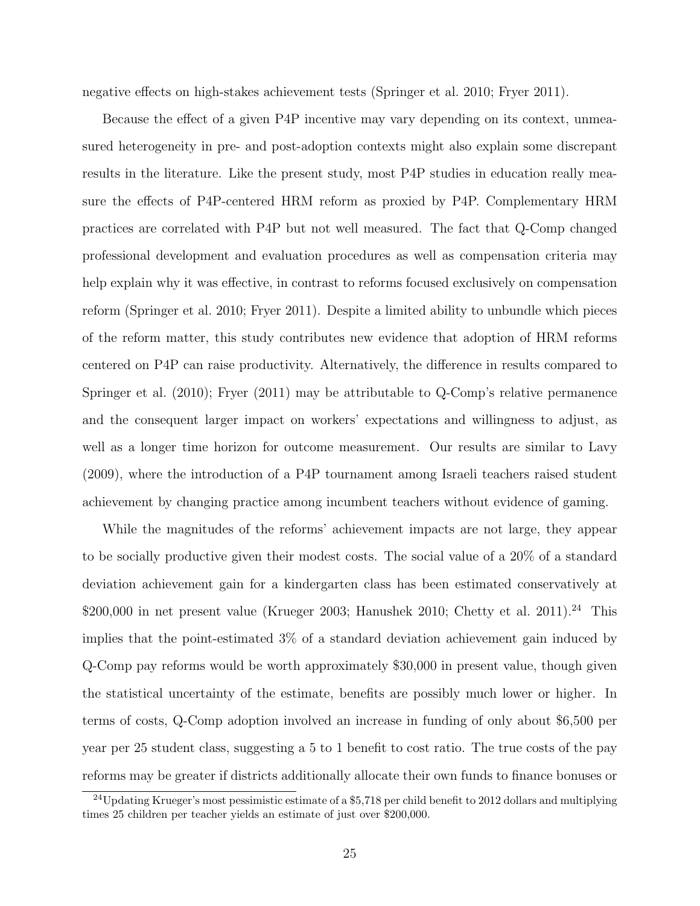negative effects on high-stakes achievement tests (Springer et al. 2010; Fryer 2011).

Because the effect of a given P4P incentive may vary depending on its context, unmeasured heterogeneity in pre- and post-adoption contexts might also explain some discrepant results in the literature. Like the present study, most P4P studies in education really measure the effects of P4P-centered HRM reform as proxied by P4P. Complementary HRM practices are correlated with P4P but not well measured. The fact that Q-Comp changed professional development and evaluation procedures as well as compensation criteria may help explain why it was effective, in contrast to reforms focused exclusively on compensation reform (Springer et al. 2010; Fryer 2011). Despite a limited ability to unbundle which pieces of the reform matter, this study contributes new evidence that adoption of HRM reforms centered on P4P can raise productivity. Alternatively, the difference in results compared to Springer et al. (2010); Fryer (2011) may be attributable to Q-Comp's relative permanence and the consequent larger impact on workers' expectations and willingness to adjust, as well as a longer time horizon for outcome measurement. Our results are similar to Lavy (2009), where the introduction of a P4P tournament among Israeli teachers raised student achievement by changing practice among incumbent teachers without evidence of gaming.

While the magnitudes of the reforms' achievement impacts are not large, they appear to be socially productive given their modest costs. The social value of a 20% of a standard deviation achievement gain for a kindergarten class has been estimated conservatively at  $$200,000$  in net present value (Krueger 2003; Hanushek 2010; Chetty et al. 2011).<sup>24</sup> This implies that the point-estimated 3% of a standard deviation achievement gain induced by Q-Comp pay reforms would be worth approximately \$30,000 in present value, though given the statistical uncertainty of the estimate, benefits are possibly much lower or higher. In terms of costs, Q-Comp adoption involved an increase in funding of only about \$6,500 per year per 25 student class, suggesting a 5 to 1 benefit to cost ratio. The true costs of the pay reforms may be greater if districts additionally allocate their own funds to finance bonuses or

<sup>&</sup>lt;sup>24</sup>Updating Krueger's most pessimistic estimate of a \$5,718 per child benefit to 2012 dollars and multiplying times 25 children per teacher yields an estimate of just over \$200,000.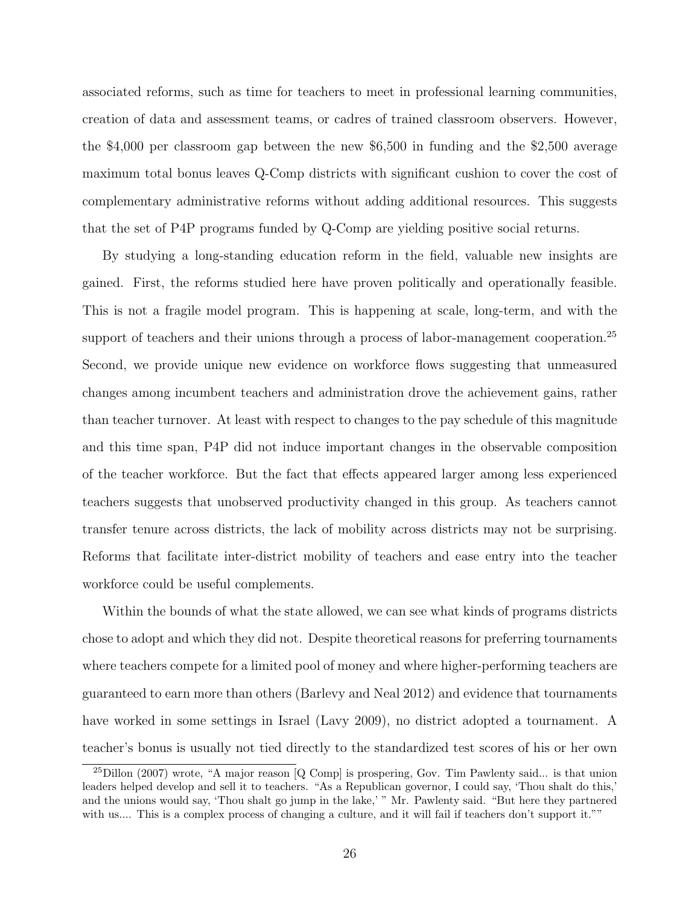associated reforms, such as time for teachers to meet in professional learning communities, creation of data and assessment teams, or cadres of trained classroom observers. However, the \$4,000 per classroom gap between the new \$6,500 in funding and the \$2,500 average maximum total bonus leaves Q-Comp districts with significant cushion to cover the cost of complementary administrative reforms without adding additional resources. This suggests that the set of P4P programs funded by Q-Comp are yielding positive social returns.

By studying a long-standing education reform in the field, valuable new insights are gained. First, the reforms studied here have proven politically and operationally feasible. This is not a fragile model program. This is happening at scale, long-term, and with the support of teachers and their unions through a process of labor-management cooperation.<sup>25</sup> Second, we provide unique new evidence on workforce flows suggesting that unmeasured changes among incumbent teachers and administration drove the achievement gains, rather than teacher turnover. At least with respect to changes to the pay schedule of this magnitude and this time span, P4P did not induce important changes in the observable composition of the teacher workforce. But the fact that effects appeared larger among less experienced teachers suggests that unobserved productivity changed in this group. As teachers cannot transfer tenure across districts, the lack of mobility across districts may not be surprising. Reforms that facilitate inter-district mobility of teachers and ease entry into the teacher workforce could be useful complements.

Within the bounds of what the state allowed, we can see what kinds of programs districts chose to adopt and which they did not. Despite theoretical reasons for preferring tournaments where teachers compete for a limited pool of money and where higher-performing teachers are guaranteed to earn more than others (Barlevy and Neal 2012) and evidence that tournaments have worked in some settings in Israel (Lavy 2009), no district adopted a tournament. A teacher's bonus is usually not tied directly to the standardized test scores of his or her own

<sup>25</sup>Dillon (2007) wrote, "A major reason [Q Comp] is prospering, Gov. Tim Pawlenty said... is that union leaders helped develop and sell it to teachers. "As a Republican governor, I could say, 'Thou shalt do this,' and the unions would say, 'Thou shalt go jump in the lake,' " Mr. Pawlenty said. "But here they partnered with us.... This is a complex process of changing a culture, and it will fail if teachers don't support it.""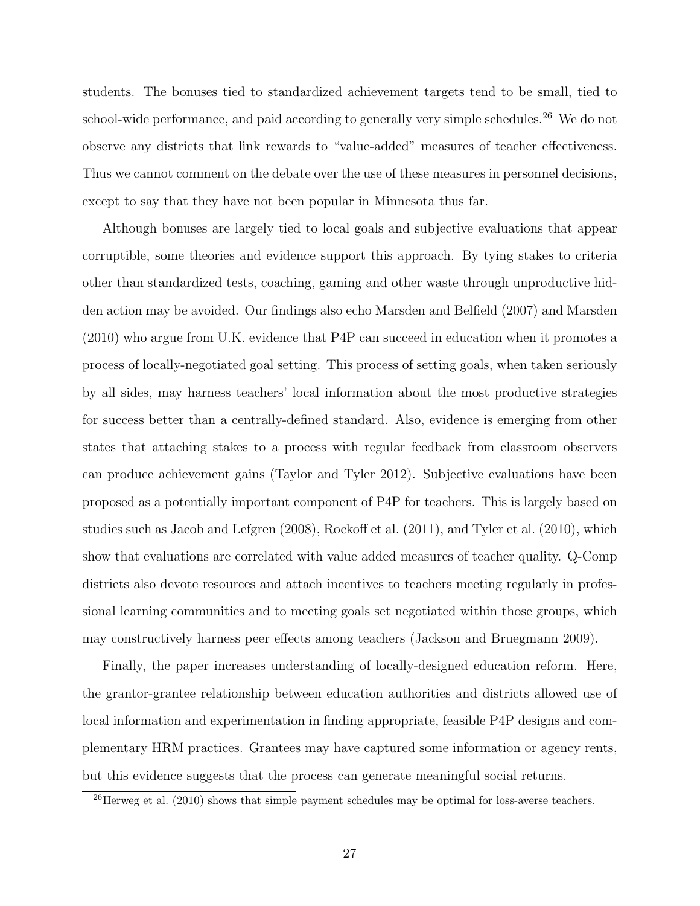students. The bonuses tied to standardized achievement targets tend to be small, tied to school-wide performance, and paid according to generally very simple schedules.<sup>26</sup> We do not observe any districts that link rewards to "value-added" measures of teacher effectiveness. Thus we cannot comment on the debate over the use of these measures in personnel decisions, except to say that they have not been popular in Minnesota thus far.

Although bonuses are largely tied to local goals and subjective evaluations that appear corruptible, some theories and evidence support this approach. By tying stakes to criteria other than standardized tests, coaching, gaming and other waste through unproductive hidden action may be avoided. Our findings also echo Marsden and Belfield (2007) and Marsden (2010) who argue from U.K. evidence that P4P can succeed in education when it promotes a process of locally-negotiated goal setting. This process of setting goals, when taken seriously by all sides, may harness teachers' local information about the most productive strategies for success better than a centrally-defined standard. Also, evidence is emerging from other states that attaching stakes to a process with regular feedback from classroom observers can produce achievement gains (Taylor and Tyler 2012). Subjective evaluations have been proposed as a potentially important component of P4P for teachers. This is largely based on studies such as Jacob and Lefgren (2008), Rockoff et al. (2011), and Tyler et al. (2010), which show that evaluations are correlated with value added measures of teacher quality. Q-Comp districts also devote resources and attach incentives to teachers meeting regularly in professional learning communities and to meeting goals set negotiated within those groups, which may constructively harness peer effects among teachers (Jackson and Bruegmann 2009).

Finally, the paper increases understanding of locally-designed education reform. Here, the grantor-grantee relationship between education authorities and districts allowed use of local information and experimentation in finding appropriate, feasible P4P designs and complementary HRM practices. Grantees may have captured some information or agency rents, but this evidence suggests that the process can generate meaningful social returns.

<sup>&</sup>lt;sup>26</sup>Herweg et al. (2010) shows that simple payment schedules may be optimal for loss-averse teachers.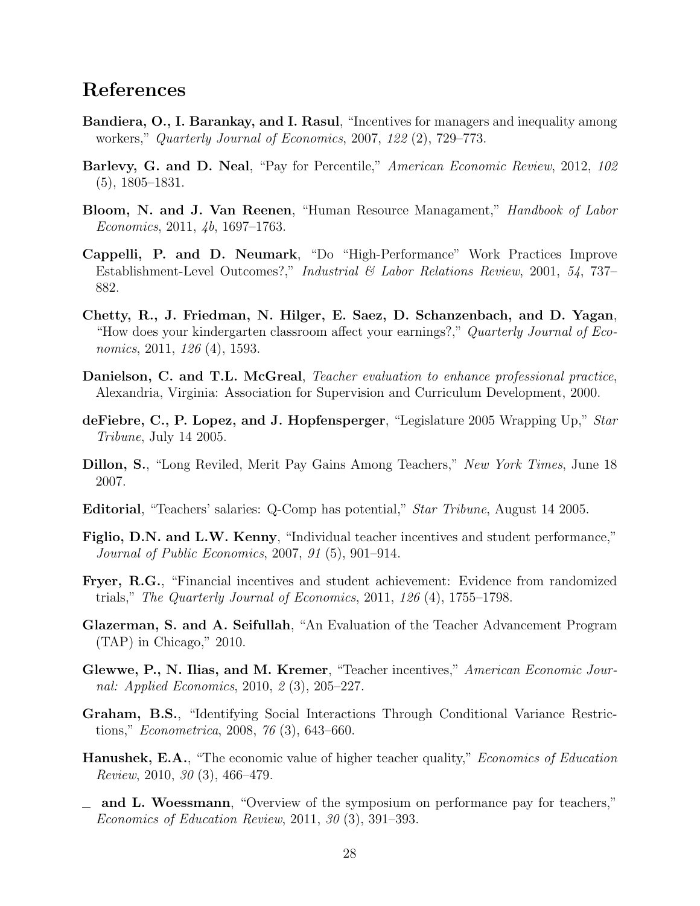### References

- Bandiera, O., I. Barankay, and I. Rasul, "Incentives for managers and inequality among workers," Quarterly Journal of Economics, 2007, 122 (2), 729–773.
- Barlevy, G. and D. Neal, "Pay for Percentile," American Economic Review, 2012, 102 (5), 1805–1831.
- Bloom, N. and J. Van Reenen, "Human Resource Managament," Handbook of Labor Economics, 2011, 4b, 1697–1763.
- Cappelli, P. and D. Neumark, "Do "High-Performance" Work Practices Improve Establishment-Level Outcomes?," Industrial & Labor Relations Review, 2001, 54, 737– 882.
- Chetty, R., J. Friedman, N. Hilger, E. Saez, D. Schanzenbach, and D. Yagan, "How does your kindergarten classroom affect your earnings?," Quarterly Journal of Economics, 2011, 126 (4), 1593.
- Danielson, C. and T.L. McGreal, Teacher evaluation to enhance professional practice, Alexandria, Virginia: Association for Supervision and Curriculum Development, 2000.
- deFiebre, C., P. Lopez, and J. Hopfensperger, "Legislature 2005 Wrapping Up," Star Tribune, July 14 2005.
- Dillon, S., "Long Reviled, Merit Pay Gains Among Teachers," New York Times, June 18 2007.
- Editorial, "Teachers' salaries: Q-Comp has potential," Star Tribune, August 14 2005.
- Figlio, D.N. and L.W. Kenny, "Individual teacher incentives and student performance," Journal of Public Economics, 2007, 91 (5), 901–914.
- Fryer, R.G., "Financial incentives and student achievement: Evidence from randomized trials," The Quarterly Journal of Economics, 2011,  $126(4)$ , 1755–1798.
- Glazerman, S. and A. Seifullah, "An Evaluation of the Teacher Advancement Program (TAP) in Chicago," 2010.
- Glewwe, P., N. Ilias, and M. Kremer, "Teacher incentives," American Economic Journal: Applied Economics, 2010, 2 (3), 205–227.
- Graham, B.S., "Identifying Social Interactions Through Conditional Variance Restrictions," Econometrica, 2008, 76 (3), 643–660.
- **Hanushek, E.A.**, "The economic value of higher teacher quality," *Economics of Education* Review, 2010, 30 (3), 466–479.
- and L. Woessmann, "Overview of the symposium on performance pay for teachers," Economics of Education Review, 2011, 30 (3), 391–393.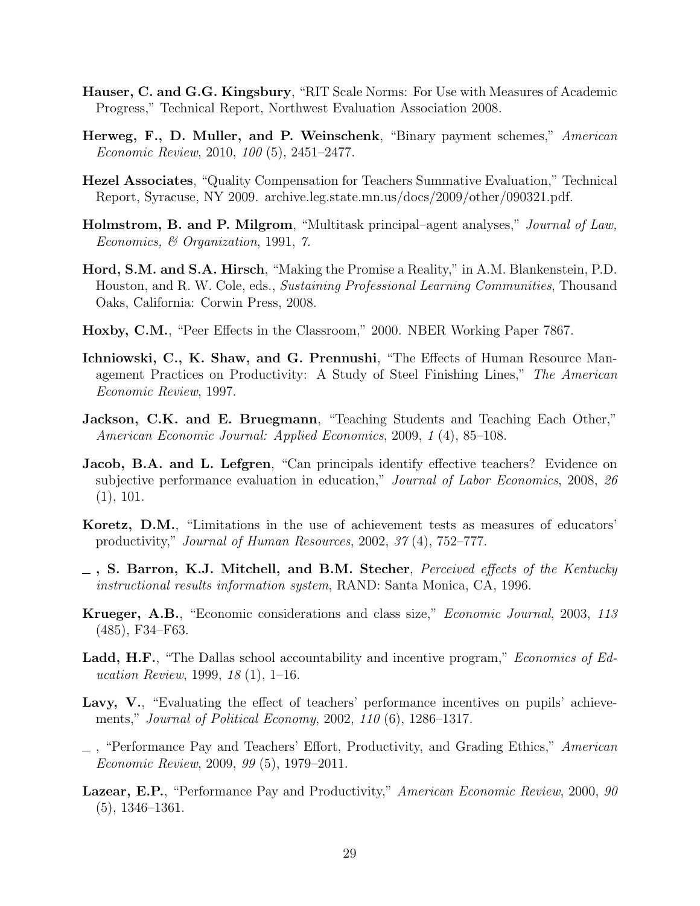- Hauser, C. and G.G. Kingsbury, "RIT Scale Norms: For Use with Measures of Academic Progress," Technical Report, Northwest Evaluation Association 2008.
- Herweg, F., D. Muller, and P. Weinschenk, "Binary payment schemes," American Economic Review, 2010, 100 (5), 2451–2477.
- Hezel Associates, "Quality Compensation for Teachers Summative Evaluation," Technical Report, Syracuse, NY 2009. archive.leg.state.mn.us/docs/2009/other/090321.pdf.
- Holmstrom, B. and P. Milgrom, "Multitask principal–agent analyses," Journal of Law, Economics, & Organization, 1991, 7.
- Hord, S.M. and S.A. Hirsch, "Making the Promise a Reality," in A.M. Blankenstein, P.D. Houston, and R. W. Cole, eds., Sustaining Professional Learning Communities, Thousand Oaks, California: Corwin Press, 2008.
- Hoxby, C.M., "Peer Effects in the Classroom," 2000. NBER Working Paper 7867.
- Ichniowski, C., K. Shaw, and G. Prennushi, "The Effects of Human Resource Management Practices on Productivity: A Study of Steel Finishing Lines," The American Economic Review, 1997.
- Jackson, C.K. and E. Bruegmann, "Teaching Students and Teaching Each Other," American Economic Journal: Applied Economics, 2009, 1 (4), 85–108.
- **Jacob, B.A. and L. Lefgren**, "Can principals identify effective teachers? Evidence on subjective performance evaluation in education," Journal of Labor Economics, 2008, 26 (1), 101.
- Koretz, D.M., "Limitations in the use of achievement tests as measures of educators' productivity," Journal of Human Resources, 2002, 37 (4), 752–777.
- $\equiv$ , S. Barron, K.J. Mitchell, and B.M. Stecher, Perceived effects of the Kentucky instructional results information system, RAND: Santa Monica, CA, 1996.
- Krueger, A.B., "Economic considerations and class size," Economic Journal, 2003, 113 (485), F34–F63.
- Ladd, H.F., "The Dallas school accountability and incentive program," *Economics of Ed*ucation Review, 1999, 18 (1), 1–16.
- Lavy, V., "Evaluating the effect of teachers' performance incentives on pupils' achievements," Journal of Political Economy, 2002, 110 (6), 1286–1317.
- $\Box$ , "Performance Pay and Teachers' Effort, Productivity, and Grading Ethics," American Economic Review, 2009, 99 (5), 1979–2011.
- Lazear, E.P., "Performance Pay and Productivity," American Economic Review, 2000, 90 (5), 1346–1361.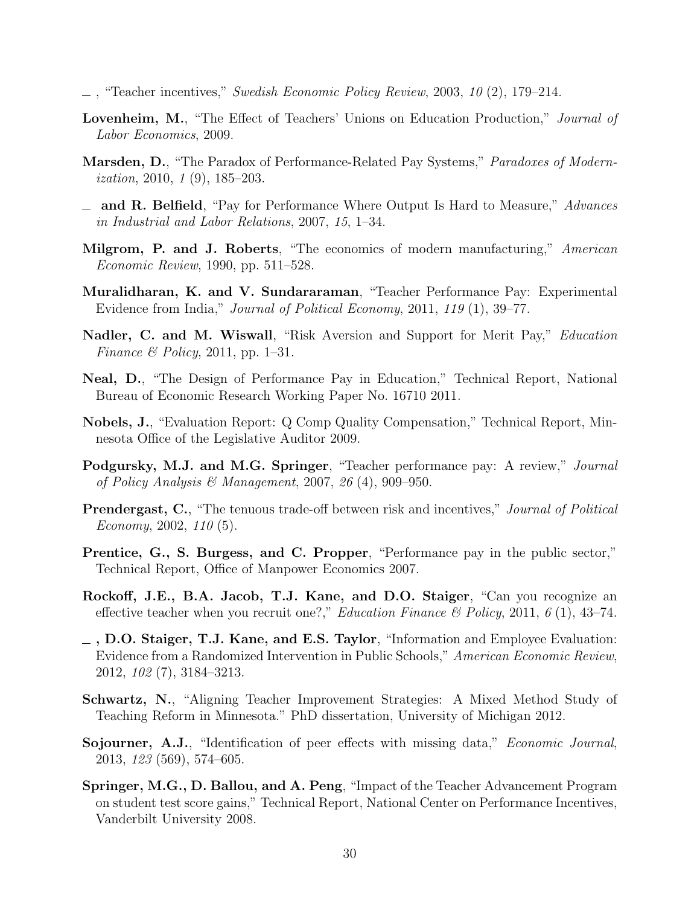- $\ldots$ , "Teacher incentives," Swedish Economic Policy Review, 2003, 10 (2), 179–214.
- Lovenheim, M., "The Effect of Teachers' Unions on Education Production," Journal of Labor Economics, 2009.
- Marsden, D., "The Paradox of Performance-Related Pay Systems," Paradoxes of Modernization, 2010, 1 (9), 185–203.
- $\equiv$  and R. Belfield, "Pay for Performance Where Output Is Hard to Measure," *Advances* in Industrial and Labor Relations, 2007, 15, 1–34.
- Milgrom, P. and J. Roberts, "The economics of modern manufacturing," American Economic Review, 1990, pp. 511–528.
- Muralidharan, K. and V. Sundararaman, "Teacher Performance Pay: Experimental Evidence from India," Journal of Political Economy, 2011, 119 (1), 39–77.
- Nadler, C. and M. Wiswall, "Risk Aversion and Support for Merit Pay," Education Finance & Policy, 2011, pp. 1–31.
- Neal, D., "The Design of Performance Pay in Education," Technical Report, National Bureau of Economic Research Working Paper No. 16710 2011.
- Nobels, J., "Evaluation Report: Q Comp Quality Compensation," Technical Report, Minnesota Office of the Legislative Auditor 2009.
- Podgursky, M.J. and M.G. Springer, "Teacher performance pay: A review," Journal of Policy Analysis & Management, 2007, 26  $(4)$ , 909–950.
- Prendergast, C., "The tenuous trade-off between risk and incentives," Journal of Political Economy, 2002, 110 (5).
- Prentice, G., S. Burgess, and C. Propper, "Performance pay in the public sector," Technical Report, Office of Manpower Economics 2007.
- Rockoff, J.E., B.A. Jacob, T.J. Kane, and D.O. Staiger, "Can you recognize an effective teacher when you recruit one?," *Education Finance* & Policy, 2011, 6 (1), 43–74.
- $\sim$ , D.O. Staiger, T.J. Kane, and E.S. Taylor, "Information and Employee Evaluation: Evidence from a Randomized Intervention in Public Schools," American Economic Review, 2012, 102 (7), 3184–3213.
- Schwartz, N., "Aligning Teacher Improvement Strategies: A Mixed Method Study of Teaching Reform in Minnesota." PhD dissertation, University of Michigan 2012.
- Sojourner, A.J., "Identification of peer effects with missing data," *Economic Journal*, 2013, 123 (569), 574–605.
- Springer, M.G., D. Ballou, and A. Peng, "Impact of the Teacher Advancement Program on student test score gains," Technical Report, National Center on Performance Incentives, Vanderbilt University 2008.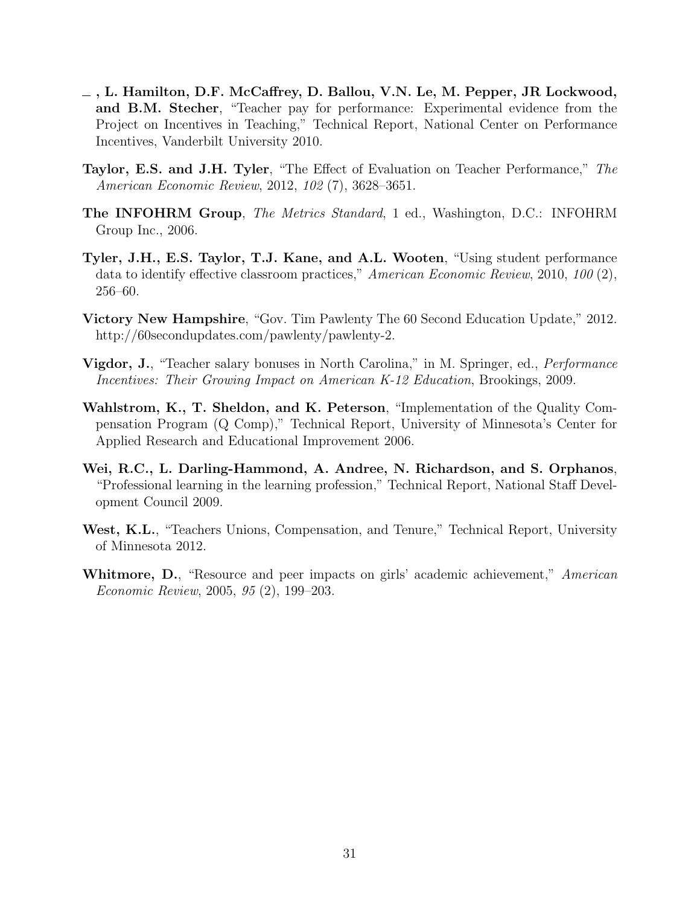- , L. Hamilton, D.F. McCaffrey, D. Ballou, V.N. Le, M. Pepper, JR Lockwood, and B.M. Stecher, "Teacher pay for performance: Experimental evidence from the Project on Incentives in Teaching," Technical Report, National Center on Performance Incentives, Vanderbilt University 2010.
- Taylor, E.S. and J.H. Tyler, "The Effect of Evaluation on Teacher Performance," The American Economic Review, 2012, 102 (7), 3628–3651.
- The INFOHRM Group, The Metrics Standard, 1 ed., Washington, D.C.: INFOHRM Group Inc., 2006.
- Tyler, J.H., E.S. Taylor, T.J. Kane, and A.L. Wooten, "Using student performance data to identify effective classroom practices," American Economic Review, 2010, 100 (2), 256–60.
- Victory New Hampshire, "Gov. Tim Pawlenty The 60 Second Education Update," 2012. http://60secondupdates.com/pawlenty/pawlenty-2.
- **Vigdor, J.**, "Teacher salary bonuses in North Carolina," in M. Springer, ed., *Performance* Incentives: Their Growing Impact on American K-12 Education, Brookings, 2009.
- Wahlstrom, K., T. Sheldon, and K. Peterson, "Implementation of the Quality Compensation Program (Q Comp)," Technical Report, University of Minnesota's Center for Applied Research and Educational Improvement 2006.
- Wei, R.C., L. Darling-Hammond, A. Andree, N. Richardson, and S. Orphanos, "Professional learning in the learning profession," Technical Report, National Staff Development Council 2009.
- West, K.L., "Teachers Unions, Compensation, and Tenure," Technical Report, University of Minnesota 2012.
- Whitmore, D., "Resource and peer impacts on girls' academic achievement," American Economic Review, 2005, 95 (2), 199–203.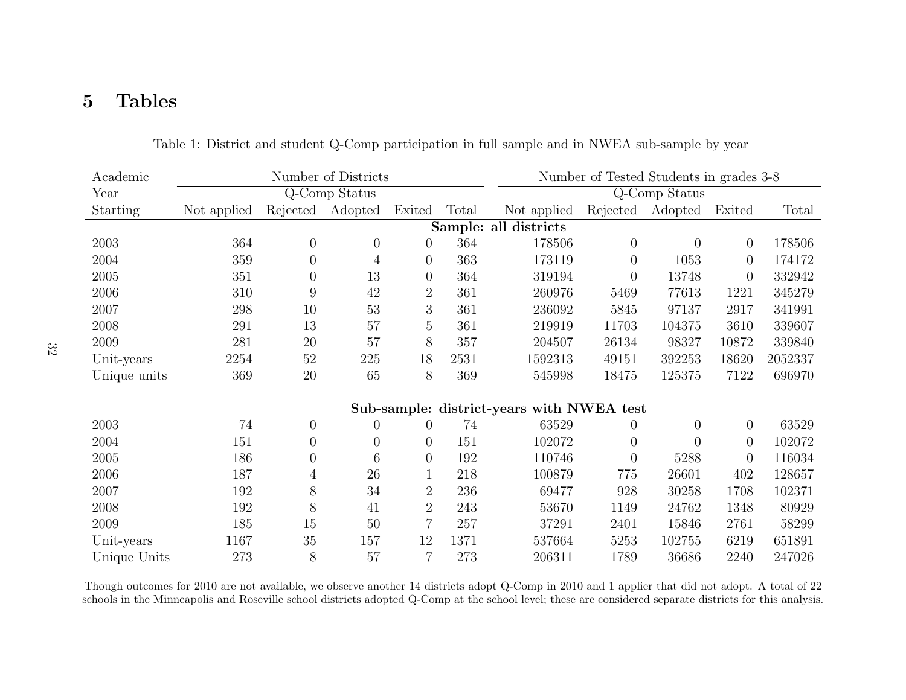# 5 Tables

| Academic     |             |                  | Number of Districts |                | Number of Tested Students in grades 3-8 |                                           |                |                |          |         |
|--------------|-------------|------------------|---------------------|----------------|-----------------------------------------|-------------------------------------------|----------------|----------------|----------|---------|
| Year         |             |                  | Q-Comp Status       |                |                                         |                                           |                | Q-Comp Status  |          |         |
| Starting     | Not applied | Rejected         | Adopted             | Exited         | Total                                   | Not applied                               | Rejected       | Adopted        | Exited   | Total   |
|              |             |                  |                     |                |                                         | Sample: all districts                     |                |                |          |         |
| 2003         | 364         | $\overline{0}$   | $\theta$            | $\overline{0}$ | 364                                     | 178506                                    | $\overline{0}$ | $\overline{0}$ | $\theta$ | 178506  |
| 2004         | 359         | $\overline{0}$   | $\overline{4}$      | $\overline{0}$ | 363                                     | 173119                                    | $\overline{0}$ | 1053           | $\theta$ | 174172  |
| 2005         | 351         | $\overline{0}$   | 13                  | $\overline{0}$ | 364                                     | 319194                                    | $\theta$       | 13748          | $\theta$ | 332942  |
| 2006         | 310         | 9                | 42                  | $\overline{2}$ | 361                                     | 260976                                    | 5469           | 77613          | 1221     | 345279  |
| 2007         | 298         | 10               | 53                  | 3              | 361                                     | 236092                                    | 5845           | 97137          | 2917     | 341991  |
| 2008         | 291         | 13               | 57                  | $\overline{5}$ | 361                                     | 219919                                    | 11703          | 104375         | 3610     | 339607  |
| 2009         | 281         | 20               | 57                  | 8              | 357                                     | 204507                                    | 26134          | 98327          | 10872    | 339840  |
| Unit-years   | 2254        | 52               | 225                 | 18             | 2531                                    | 1592313                                   | 49151          | 392253         | 18620    | 2052337 |
| Unique units | 369         | 20               | 65                  | $8\,$          | 369                                     | 545998                                    | 18475          | 125375         | 7122     | 696970  |
|              |             |                  |                     |                |                                         | Sub-sample: district-years with NWEA test |                |                |          |         |
| 2003         | 74          | $\overline{0}$   | $\theta$            | $\overline{0}$ | 74                                      | 63529                                     | 0              | $\overline{0}$ | $\theta$ | 63529   |
| 2004         | 151         | $\overline{0}$   | $\overline{0}$      | $\theta$       | 151                                     | 102072                                    | $\theta$       | $\overline{0}$ | $\theta$ | 102072  |
| 2005         | 186         | $\boldsymbol{0}$ | 6                   | $\theta$       | 192                                     | 110746                                    | $\theta$       | 5288           | $\theta$ | 116034  |
| 2006         | 187         | 4                | 26                  | $\mathbf{1}$   | 218                                     | 100879                                    | 775            | 26601          | 402      | 128657  |
| 2007         | 192         | 8                | 34                  | $\overline{2}$ | 236                                     | 69477                                     | 928            | 30258          | 1708     | 102371  |
| 2008         | 192         | 8                | 41                  | $\overline{2}$ | 243                                     | 53670                                     | 1149           | 24762          | 1348     | 80929   |
| 2009         | 185         | 15               | 50                  | $\overline{7}$ | 257                                     | 37291                                     | 2401           | 15846          | 2761     | 58299   |
| Unit-years   | 1167        | 35               | 157                 | 12             | 1371                                    | 537664                                    | 5253           | 102755         | 6219     | 651891  |
| Unique Units | 273         | $8\,$            | 57                  | $\overline{7}$ | 273                                     | 206311                                    | 1789           | 36686          | 2240     | 247026  |

Table 1: District and student Q-Comp participation in full sample and in NWEA sub-sample by year

Though outcomes for 2010 are not available, we observe another 14 districts adopt Q-Comp in 2010 and 1 applier that did not adopt. A total of 22schools in the Minneapolis and Roseville school districts adopted Q-Comp at the school level; these are considered separate districts for this analysis.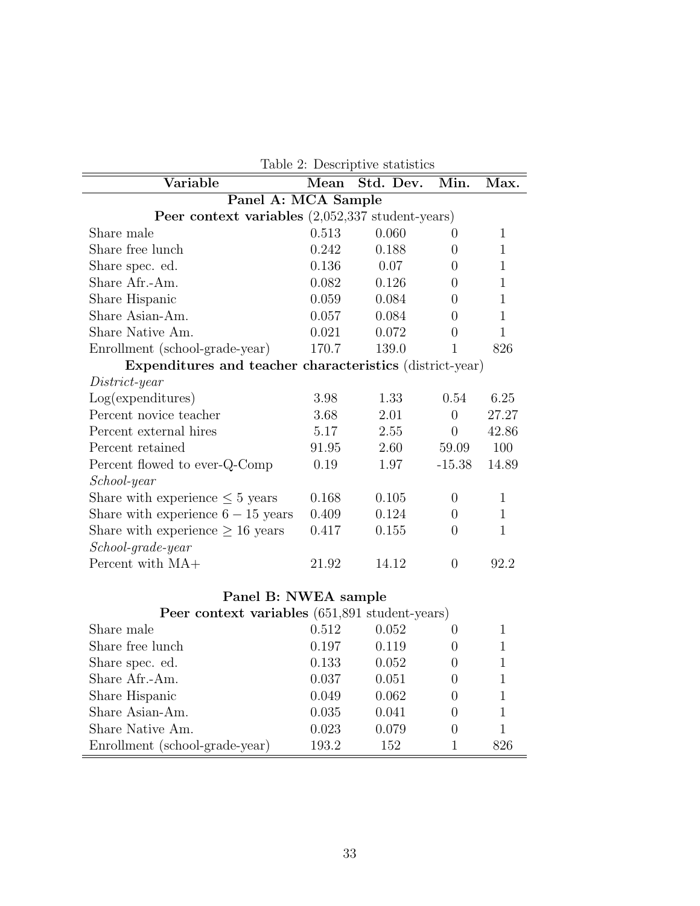| Table 2: Descriptive statistics                            |       |           |                  |              |  |  |  |  |
|------------------------------------------------------------|-------|-----------|------------------|--------------|--|--|--|--|
| Variable                                                   | Mean  | Std. Dev. | Min.             | Max.         |  |  |  |  |
| Panel A: MCA Sample                                        |       |           |                  |              |  |  |  |  |
| Peer context variables $(2,052,337 \text{ student-years})$ |       |           |                  |              |  |  |  |  |
| Share male                                                 | 0.513 | 0.060     | $\left( \right)$ | 1            |  |  |  |  |
| Share free lunch                                           | 0.242 | 0.188     | $\Omega$         | $\mathbf{1}$ |  |  |  |  |
| Share spec. ed.                                            | 0.136 | 0.07      | $\Omega$         | $\mathbf{1}$ |  |  |  |  |
| Share Afr.-Am.                                             | 0.082 | 0.126     | $\Omega$         | $\mathbf{1}$ |  |  |  |  |
| Share Hispanic                                             | 0.059 | 0.084     | $\Omega$         | $\mathbf{1}$ |  |  |  |  |
| Share Asian-Am.                                            | 0.057 | 0.084     | $\Omega$         | $\mathbf{1}$ |  |  |  |  |
| Share Native Am.                                           | 0.021 | 0.072     | $\Omega$         | 1            |  |  |  |  |
| Enrollment (school-grade-year)                             | 170.7 | 139.0     | $\mathbf 1$      | 826          |  |  |  |  |
| Expenditures and teacher characteristics (district-year)   |       |           |                  |              |  |  |  |  |
| District-year                                              |       |           |                  |              |  |  |  |  |
| Log(expenditures)                                          | 3.98  | 1.33      | 0.54             | 6.25         |  |  |  |  |
| Percent novice teacher                                     | 3.68  | 2.01      | $\theta$         | 27.27        |  |  |  |  |
| Percent external hires                                     | 5.17  | 2.55      | $\overline{0}$   | 42.86        |  |  |  |  |
| Percent retained                                           | 91.95 | 2.60      | 59.09            | 100          |  |  |  |  |
| Percent flowed to ever-Q-Comp                              | 0.19  | 1.97      | $-15.38$         | 14.89        |  |  |  |  |
| School-year                                                |       |           |                  |              |  |  |  |  |
| Share with experience $\leq 5$ years                       | 0.168 | 0.105     | $\theta$         | $\mathbf{1}$ |  |  |  |  |
| Share with experience $6-15$ years                         | 0.409 | 0.124     | $\theta$         | $\mathbf{1}$ |  |  |  |  |
| Share with experience $\geq 16$ years                      | 0.417 | 0.155     | $\Omega$         | $\mathbf{1}$ |  |  |  |  |
| School-grade-year                                          |       |           |                  |              |  |  |  |  |
| Percent with MA+                                           | 21.92 | 14.12     | $\theta$         | 92.2         |  |  |  |  |
|                                                            |       |           |                  |              |  |  |  |  |

#### Panel B: NWEA sample

| Peer context variables (651,891 student-years) |       |       |                  |     |
|------------------------------------------------|-------|-------|------------------|-----|
| Share male                                     | 0.512 | 0.052 |                  |     |
| Share free lunch                               | 0.197 | 0.119 | $\left( \right)$ |     |
| Share spec. ed.                                | 0.133 | 0.052 | $\left( \right)$ |     |
| Share Afr.-Am.                                 | 0.037 | 0.051 | $\left( \right)$ |     |
| Share Hispanic                                 | 0.049 | 0.062 | $\left( \right)$ |     |
| Share Asian-Am.                                | 0.035 | 0.041 | $\left( \right)$ |     |
| Share Native Am.                               | 0.023 | 0.079 | $\left( \right)$ |     |
| Enrollment (school-grade-year)                 | 193.2 | 152   |                  | 826 |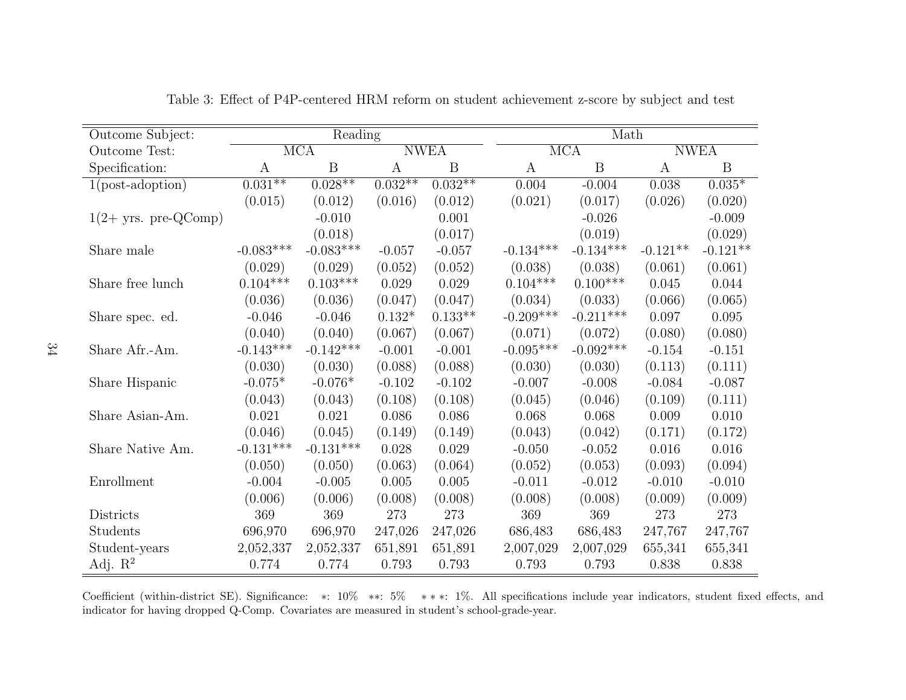| Outcome Subject:       |             | Reading                 |           |             |             | Math                    |            |             |  |
|------------------------|-------------|-------------------------|-----------|-------------|-------------|-------------------------|------------|-------------|--|
| Outcome Test:          |             | $\overline{\text{MCA}}$ |           | <b>NWEA</b> |             | $\overline{\text{MCA}}$ |            | <b>NWEA</b> |  |
| Specification:         | А           | $\overline{B}$          | A         | B           | A           | $\mathbf B$             | A          | B           |  |
| $1(post-adoption)$     | $0.031**$   | $0.028**$               | $0.032**$ | $0.032**$   | 0.004       | $-0.004$                | 0.038      | $0.035*$    |  |
|                        | (0.015)     | (0.012)                 | (0.016)   | (0.012)     | (0.021)     | (0.017)                 | (0.026)    | (0.020)     |  |
| $1(2+$ yrs. pre-QComp) |             | $-0.010$                |           | 0.001       |             | $-0.026$                |            | $-0.009$    |  |
|                        |             | (0.018)                 |           | (0.017)     |             | (0.019)                 |            | (0.029)     |  |
| Share male             | $-0.083***$ | $-0.083***$             | $-0.057$  | $-0.057$    | $-0.134***$ | $-0.134***$             | $-0.121**$ | $-0.121**$  |  |
|                        | (0.029)     | (0.029)                 | (0.052)   | (0.052)     | (0.038)     | (0.038)                 | (0.061)    | (0.061)     |  |
| Share free lunch       | $0.104***$  | $0.103***$              | 0.029     | 0.029       | $0.104***$  | $0.100***$              | 0.045      | 0.044       |  |
|                        | (0.036)     | (0.036)                 | (0.047)   | (0.047)     | (0.034)     | (0.033)                 | (0.066)    | (0.065)     |  |
| Share spec. ed.        | $-0.046$    | $-0.046$                | $0.132*$  | $0.133**$   | $-0.209***$ | $-0.211***$             | 0.097      | 0.095       |  |
|                        | (0.040)     | (0.040)                 | (0.067)   | (0.067)     | (0.071)     | (0.072)                 | (0.080)    | (0.080)     |  |
| Share Afr.-Am.         | $-0.143***$ | $-0.142***$             | $-0.001$  | $-0.001$    | $-0.095***$ | $-0.092***$             | $-0.154$   | $-0.151$    |  |
|                        | (0.030)     | (0.030)                 | (0.088)   | (0.088)     | (0.030)     | (0.030)                 | (0.113)    | (0.111)     |  |
| Share Hispanic         | $-0.075*$   | $-0.076*$               | $-0.102$  | $-0.102$    | $-0.007$    | $-0.008$                | $-0.084$   | $-0.087$    |  |
|                        | (0.043)     | (0.043)                 | (0.108)   | (0.108)     | (0.045)     | (0.046)                 | (0.109)    | (0.111)     |  |
| Share Asian-Am.        | 0.021       | 0.021                   | 0.086     | 0.086       | 0.068       | 0.068                   | 0.009      | 0.010       |  |
|                        | (0.046)     | (0.045)                 | (0.149)   | (0.149)     | (0.043)     | (0.042)                 | (0.171)    | (0.172)     |  |
| Share Native Am.       | $-0.131***$ | $-0.131***$             | 0.028     | 0.029       | $-0.050$    | $-0.052$                | 0.016      | 0.016       |  |
|                        | (0.050)     | (0.050)                 | (0.063)   | (0.064)     | (0.052)     | (0.053)                 | (0.093)    | (0.094)     |  |
| Enrollment             | $-0.004$    | $-0.005$                | $0.005\,$ | $0.005\,$   | $-0.011$    | $-0.012$                | $-0.010$   | $-0.010$    |  |
|                        | (0.006)     | (0.006)                 | (0.008)   | (0.008)     | (0.008)     | (0.008)                 | (0.009)    | (0.009)     |  |
| Districts              | 369         | 369                     | 273       | 273         | 369         | 369                     | 273        | 273         |  |
| Students               | 696,970     | 696,970                 | 247,026   | 247,026     | 686,483     | 686,483                 | 247,767    | 247,767     |  |
| Student-years          | 2,052,337   | 2,052,337               | 651,891   | 651,891     | 2,007,029   | 2,007,029               | 655,341    | 655,341     |  |
| Adj. $R^2$             | 0.774       | 0.774                   | 0.793     | 0.793       | 0.793       | 0.793                   | 0.838      | 0.838       |  |

Table 3: Effect of P4P-centered HRM reform on student achievement z-score by subject and test

Coefficient (within-district SE). Significance: \*: 10% \*\*: 5% \*\*\*: 1%. All specifications include year indicators, student fixed effects, and<br>indicator for haring decreed O Grans Germintee are massived in student's asked indicator for having dropped Q-Comp. Covariates are measured in student's school-grade-year.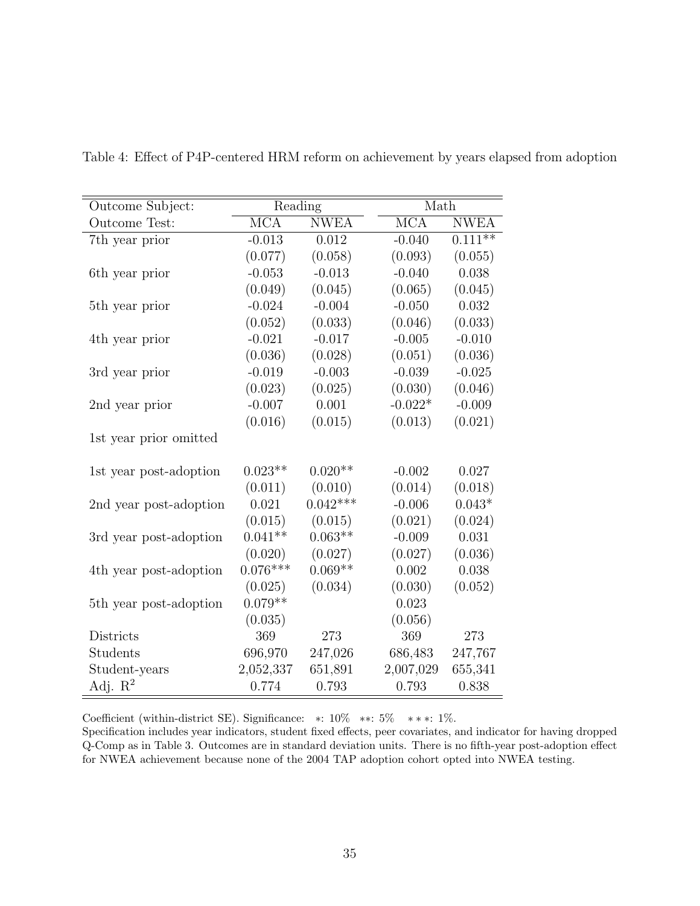| Outcome Subject:           | Reading                 |             | Math                    |             |
|----------------------------|-------------------------|-------------|-------------------------|-------------|
| Outcome Test:              | $\overline{\text{MCA}}$ | <b>NWEA</b> | $\overline{\text{MCA}}$ | <b>NWEA</b> |
| 7th year prior             | $-0.013$                | 0.012       | $-0.040$                | $0.111**$   |
|                            | (0.077)                 | (0.058)     | (0.093)                 | (0.055)     |
| 6th year prior             | $-0.053$                | $-0.013$    | $-0.040$                | 0.038       |
|                            | (0.049)                 | (0.045)     | (0.065)                 | (0.045)     |
| 5 <sup>th</sup> year prior | $-0.024$                | $-0.004$    | $-0.050$                | 0.032       |
|                            | (0.052)                 | (0.033)     | (0.046)                 | (0.033)     |
| 4th year prior             | $-0.021$                | $-0.017$    | $-0.005$                | $-0.010$    |
|                            | (0.036)                 | (0.028)     | (0.051)                 | (0.036)     |
| 3rd year prior             | $-0.019$                | $-0.003$    | $-0.039$                | $-0.025$    |
|                            | (0.023)                 | (0.025)     | (0.030)                 | (0.046)     |
| 2nd year prior             | $-0.007$                | 0.001       | $-0.022*$               | $-0.009$    |
|                            | (0.016)                 | (0.015)     | (0.013)                 | (0.021)     |
| 1st year prior omitted     |                         |             |                         |             |
| 1st year post-adoption     | $0.023**$               | $0.020**$   | $-0.002$                | 0.027       |
|                            | (0.011)                 | (0.010)     | (0.014)                 | (0.018)     |
| 2nd year post-adoption     | 0.021                   | $0.042***$  | $-0.006$                | $0.043*$    |
|                            | (0.015)                 | (0.015)     | (0.021)                 | (0.024)     |
| 3rd year post-adoption     | $0.041**$               | $0.063**$   | $-0.009$                | 0.031       |
|                            | (0.020)                 | (0.027)     | (0.027)                 | (0.036)     |
| 4th year post-adoption     | $0.076***$              | $0.069**$   | 0.002                   | 0.038       |
|                            | (0.025)                 | (0.034)     | (0.030)                 | (0.052)     |
| 5th year post-adoption     | $0.079**$               |             | 0.023                   |             |
|                            | (0.035)                 |             | (0.056)                 |             |
| Districts                  | 369                     | 273         | 369                     | 273         |
| Students                   | 696,970                 | 247,026     | 686,483                 | 247,767     |
| Student-years              | 2,052,337               | 651,891     | 2,007,029               | 655,341     |
| Adj. $\mathbb{R}^2$        | 0.774                   | 0.793       | 0.793                   | 0.838       |

Table 4: Effect of P4P-centered HRM reform on achievement by years elapsed from adoption

Coefficient (within-district SE). Significance: ∗: 10% ∗∗: 5% ∗ ∗ ∗: 1%.

Specification includes year indicators, student fixed effects, peer covariates, and indicator for having dropped Q-Comp as in Table 3. Outcomes are in standard deviation units. There is no fifth-year post-adoption effect for NWEA achievement because none of the 2004 TAP adoption cohort opted into NWEA testing.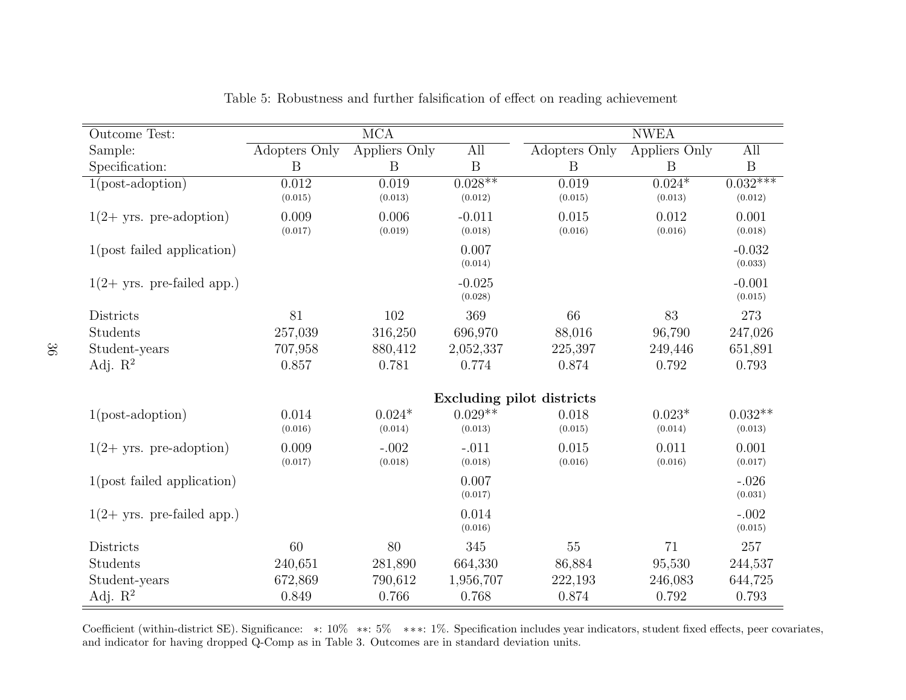| Outcome Test:                 |                  | $\overline{\text{MCA}}$ |                      |                           | <b>NWEA</b>         |                       |
|-------------------------------|------------------|-------------------------|----------------------|---------------------------|---------------------|-----------------------|
| Sample:                       | Adopters Only    | Appliers Only           | All                  | Adopters Only             | Appliers Only       | All                   |
| Specification:                | B                | B                       | $\mathbf B$          | B                         | B                   | $\mathbf B$           |
| $1(post-adoption)$            | 0.012<br>(0.015) | 0.019<br>(0.013)        | $0.028**$<br>(0.012) | 0.019<br>(0.015)          | $0.024*$<br>(0.013) | $0.032***$<br>(0.012) |
| $1(2 + yrs. pre-adoption)$    | 0.009<br>(0.017) | 0.006<br>(0.019)        | $-0.011$<br>(0.018)  | 0.015<br>(0.016)          | 0.012<br>(0.016)    | 0.001<br>(0.018)      |
| $1$ (post failed application) |                  |                         | 0.007<br>(0.014)     |                           |                     | $-0.032$<br>(0.033)   |
| $1(2 + yrs.$ pre-failed app.) |                  |                         | $-0.025$<br>(0.028)  |                           |                     | $-0.001$<br>(0.015)   |
| Districts                     | 81               | 102                     | 369                  | 66                        | 83                  | 273                   |
| Students                      | 257,039          | 316,250                 | 696,970              | 88,016                    | 96,790              | 247,026               |
| Student-years                 | 707,958          | 880,412                 | 2,052,337            | 225,397                   | 249,446             | 651,891               |
| Adj. $\mathbb{R}^2$           | 0.857            | 0.781                   | 0.774                | 0.874                     | 0.792               | 0.793                 |
|                               |                  |                         |                      | Excluding pilot districts |                     |                       |
| $1(post-adoption)$            | 0.014<br>(0.016) | $0.024*$<br>(0.014)     | $0.029**$<br>(0.013) | 0.018<br>(0.015)          | $0.023*$<br>(0.014) | $0.032**$<br>(0.013)  |
| $1(2 + yrs. pre-adoption)$    | 0.009<br>(0.017) | $-.002$<br>(0.018)      | $-.011$<br>(0.018)   | 0.015<br>(0.016)          | 0.011<br>(0.016)    | 0.001<br>(0.017)      |
| $1$ (post failed application) |                  |                         | 0.007<br>(0.017)     |                           |                     | $-.026$<br>(0.031)    |
| $1(2 + yrs.$ pre-failed app.) |                  |                         | 0.014<br>(0.016)     |                           |                     | $-.002$<br>(0.015)    |
| Districts                     | 60               | 80                      | 345                  | 55                        | 71                  | 257                   |
| Students                      | 240,651          | 281,890                 | 664,330              | 86,884                    | 95,530              | 244,537               |
| Student-years                 | 672,869          | 790,612                 | 1,956,707            | 222,193                   | 246,083             | 644,725               |
| Adj. $R^2$                    | 0.849            | 0.766                   | 0.768                | 0.874                     | 0.792               | 0.793                 |

Table 5: Robustness and further falsification of effect on reading achievement

Coefficient (within-district SE). Significance: \*: 10% \*\*: 5% \*\*\*: 1%. Specification includes year indicators, student fixed effects, peer covariates, and indicator for having dropped Q-Comp as in Table 3. Outcomes are in standard deviation units.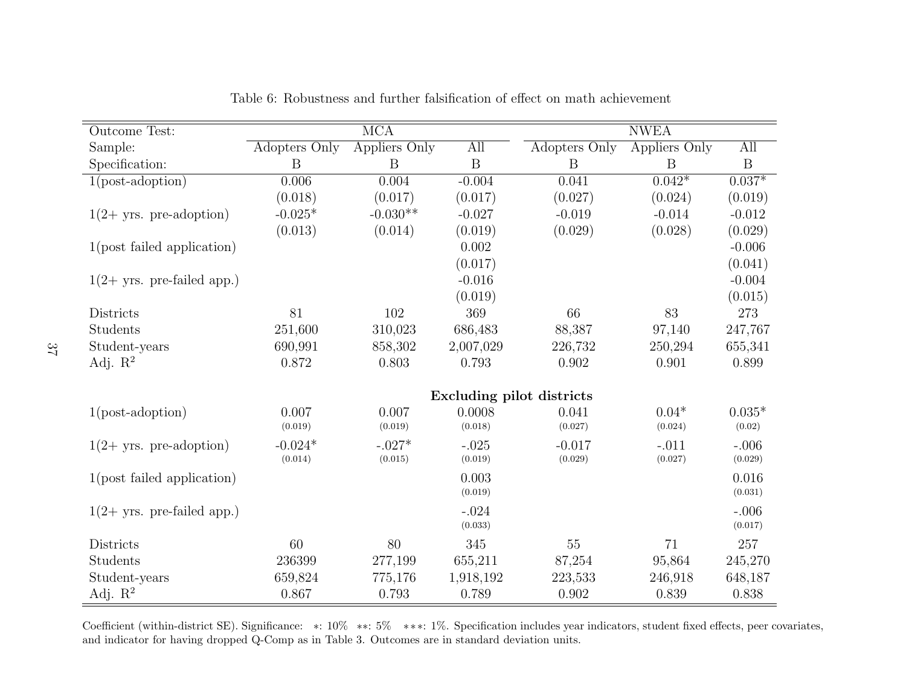| <b>Outcome Test:</b>          |               | $\overline{\text{MCA}}$ |                    |                           | <b>NWEA</b>   |                    |
|-------------------------------|---------------|-------------------------|--------------------|---------------------------|---------------|--------------------|
| Sample:                       | Adopters Only | Appliers Only           | All                | Adopters Only             | Appliers Only | All                |
| Specification:                | B             | B                       | $\boldsymbol{B}$   | B                         | B             | B                  |
| $1(post-adoption)$            | 0.006         | 0.004                   | $-0.004$           | 0.041                     | $0.042*$      | $0.037*$           |
|                               | (0.018)       | (0.017)                 | (0.017)            | (0.027)                   | (0.024)       | (0.019)            |
| $1(2 + yrs. pre-adoption)$    | $-0.025*$     | $-0.030**$              | $-0.027$           | $-0.019$                  | $-0.014$      | $-0.012$           |
|                               | (0.013)       | (0.014)                 | (0.019)            | (0.029)                   | (0.028)       | (0.029)            |
| $1$ (post failed application) |               |                         | 0.002              |                           |               | $-0.006$           |
|                               |               |                         | (0.017)            |                           |               | (0.041)            |
| $1(2 + yrs.$ pre-failed app.) |               |                         | $-0.016$           |                           |               | $-0.004$           |
|                               |               |                         | (0.019)            |                           |               | (0.015)            |
| Districts                     | 81            | 102                     | 369                | 66                        | 83            | 273                |
| Students                      | 251,600       | 310,023                 | 686,483            | 88,387                    | 97,140        | 247,767            |
| Student-years                 | 690,991       | 858,302                 | 2,007,029          | 226,732                   | 250,294       | 655,341            |
| Adj. $R^2$                    | 0.872         | 0.803                   | 0.793              | 0.902                     | 0.901         | 0.899              |
|                               |               |                         |                    | Excluding pilot districts |               |                    |
| $1(post-adoption)$            | 0.007         | 0.007                   | 0.0008             | 0.041                     | $0.04*$       | $0.035*$           |
|                               | (0.019)       | (0.019)                 | (0.018)            | (0.027)                   | (0.024)       | (0.02)             |
| $1(2 + yrs. pre-adoption)$    | $-0.024*$     | $-.027*$                | $-.025$            | $-0.017$                  | $-.011$       | $-.006$            |
|                               | (0.014)       | (0.015)                 | (0.019)            | (0.029)                   | (0.027)       | (0.029)            |
| $1$ (post failed application) |               |                         | 0.003<br>(0.019)   |                           |               | 0.016<br>(0.031)   |
| $1(2 + yrs.$ pre-failed app.) |               |                         | $-.024$<br>(0.033) |                           |               | $-.006$<br>(0.017) |
| Districts                     | 60            | 80                      | 345                | 55                        | 71            | 257                |
| Students                      | 236399        | 277,199                 | 655,211            | 87,254                    | 95,864        | 245,270            |
| Student-years                 | 659,824       | 775,176                 | 1,918,192          | 223,533                   | 246,918       | 648,187            |
| Adj. $R^2$                    | 0.867         | 0.793                   | 0.789              | 0.902                     | 0.839         | 0.838              |

Table 6: Robustness and further falsification of effect on math achievement

Coefficient (within-district SE). Significance: \*: 10% \*\*: 5% \*\*\*: 1%. Specification includes year indicators, student fixed effects, peer covariates, covariates, covariates, covariates, covariates, covariates, covariates and indicator for having dropped Q-Comp as in Table 3. Outcomes are in standard deviation units.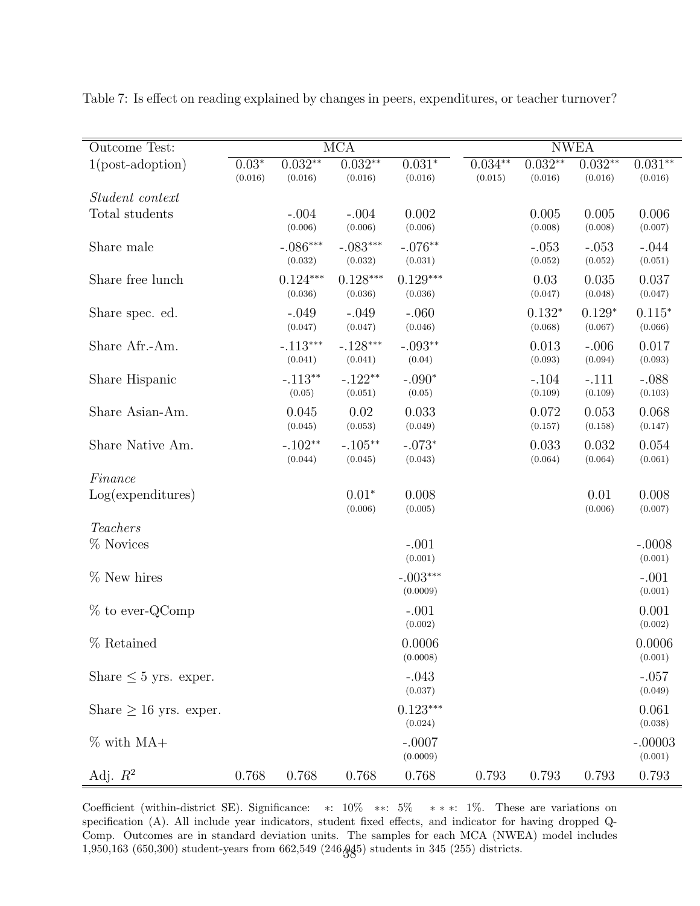| Outcome Test:               |                    |                       | $\overline{\text{MCA}}$ |                        |                      |                      | <b>NWEA</b>          |                      |
|-----------------------------|--------------------|-----------------------|-------------------------|------------------------|----------------------|----------------------|----------------------|----------------------|
| $1(post-adoption)$          | $0.03*$<br>(0.016) | $0.032**$<br>(0.016)  | $0.032**$<br>(0.016)    | $0.031*$<br>(0.016)    | $0.034**$<br>(0.015) | $0.032**$<br>(0.016) | $0.032**$<br>(0.016) | $0.031**$<br>(0.016) |
| Student context             |                    |                       |                         |                        |                      |                      |                      |                      |
| Total students              |                    | $-.004$<br>(0.006)    | $-.004$<br>(0.006)      | 0.002<br>(0.006)       |                      | 0.005<br>(0.008)     | 0.005<br>(0.008)     | 0.006<br>(0.007)     |
| Share male                  |                    | $-.086***$<br>(0.032) | $-.083***$<br>(0.032)   | $-.076**$<br>(0.031)   |                      | $-.053$<br>(0.052)   | $-.053$<br>(0.052)   | $-.044$<br>(0.051)   |
| Share free lunch            |                    | $0.124***$<br>(0.036) | $0.128***$<br>(0.036)   | $0.129***$<br>(0.036)  |                      | 0.03<br>(0.047)      | 0.035<br>(0.048)     | 0.037<br>(0.047)     |
| Share spec. ed.             |                    | $-.049$<br>(0.047)    | $-.049$<br>(0.047)      | $-.060$<br>(0.046)     |                      | $0.132*$<br>(0.068)  | $0.129*$<br>(0.067)  | $0.115*$<br>(0.066)  |
| Share Afr.-Am.              |                    | $-.113***$<br>(0.041) | $-.128***$<br>(0.041)   | $-.093**$<br>(0.04)    |                      | 0.013<br>(0.093)     | $-.006$<br>(0.094)   | 0.017<br>(0.093)     |
| Share Hispanic              |                    | $-.113**$<br>(0.05)   | $-.122**$<br>(0.051)    | $-.090*$<br>(0.05)     |                      | $-.104$<br>(0.109)   | $-.111$<br>(0.109)   | $-.088$<br>(0.103)   |
| Share Asian-Am.             |                    | 0.045<br>(0.045)      | 0.02<br>(0.053)         | 0.033<br>(0.049)       |                      | 0.072<br>(0.157)     | 0.053<br>(0.158)     | 0.068<br>(0.147)     |
| Share Native Am.            |                    | $-.102**$<br>(0.044)  | $-.105**$<br>(0.045)    | $-.073*$<br>(0.043)    |                      | 0.033<br>(0.064)     | 0.032<br>(0.064)     | 0.054<br>(0.061)     |
| Finance                     |                    |                       |                         |                        |                      |                      |                      |                      |
| Log(expenditures)           |                    |                       | $0.01*$<br>(0.006)      | 0.008<br>(0.005)       |                      |                      | 0.01<br>(0.006)      | 0.008<br>(0.007)     |
| Teachers                    |                    |                       |                         |                        |                      |                      |                      |                      |
| % Novices                   |                    |                       |                         | $-.001$<br>(0.001)     |                      |                      |                      | $-.0008$<br>(0.001)  |
| $%$ New hires               |                    |                       |                         | $-.003***$<br>(0.0009) |                      |                      |                      | $-.001$<br>(0.001)   |
| $%$ to ever-QComp           |                    |                       |                         | $-.001$<br>(0.002)     |                      |                      |                      | 0.001<br>(0.002)     |
| % Retained                  |                    |                       |                         | 0.0006<br>(0.0008)     |                      |                      |                      | 0.0006<br>(0.001)    |
| Share $\leq 5$ yrs. exper.  |                    |                       |                         | $-.043$<br>(0.037)     |                      |                      |                      | $-.057$<br>(0.049)   |
| Share $\geq 16$ yrs. exper. |                    |                       |                         | $0.123***$<br>(0.024)  |                      |                      |                      | 0.061<br>(0.038)     |
| $\%$ with MA+               |                    |                       |                         | $-.0007$<br>(0.0009)   |                      |                      |                      | $-.00003$<br>(0.001) |
| Adj. $R^2$                  | 0.768              | 0.768                 | 0.768                   | 0.768                  | 0.793                | 0.793                | 0.793                | 0.793                |

Table 7: Is effect on reading explained by changes in peers, expenditures, or teacher turnover?

Coefficient (within-district SE). Significance: ∗: 10% ∗∗: 5% ∗ ∗ ∗: 1%. These are variations on specification (A). All include year indicators, student fixed effects, and indicator for having dropped Q-Comp. Outcomes are in standard deviation units. The samples for each MCA (NWEA) model includes 1,950,163 (650,300) student-years from 662,549 (246,045) students in 345 (255) districts. 38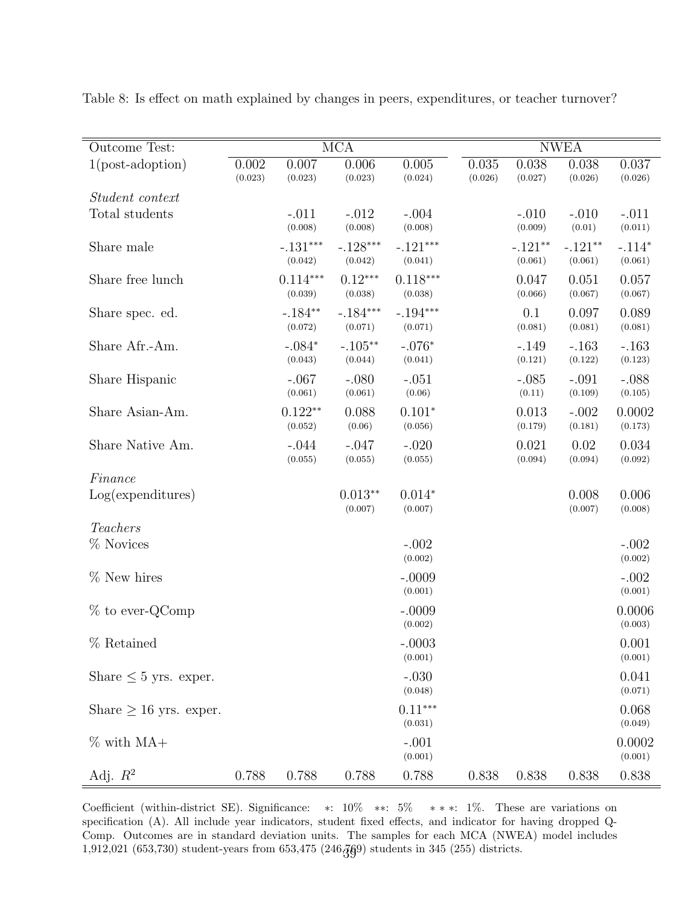| Outcome Test:               |                  |                       | $\overline{\text{MCA}}$ |                       |                  |                      | <b>NWEA</b>          |                     |
|-----------------------------|------------------|-----------------------|-------------------------|-----------------------|------------------|----------------------|----------------------|---------------------|
| $1(post-adoption)$          | 0.002<br>(0.023) | 0.007<br>(0.023)      | 0.006<br>(0.023)        | 0.005<br>(0.024)      | 0.035<br>(0.026) | 0.038<br>(0.027)     | 0.038<br>(0.026)     | 0.037<br>(0.026)    |
| <i>Student context</i>      |                  |                       |                         |                       |                  |                      |                      |                     |
| Total students              |                  | $-.011$<br>(0.008)    | $-.012$<br>(0.008)      | $-.004$<br>(0.008)    |                  | $-.010$<br>(0.009)   | $-.010$<br>(0.01)    | $-.011$<br>(0.011)  |
| Share male                  |                  | $-.131***$<br>(0.042) | $-.128***$<br>(0.042)   | $-.121***$<br>(0.041) |                  | $-.121**$<br>(0.061) | $-.121**$<br>(0.061) | $-.114*$<br>(0.061) |
| Share free lunch            |                  | $0.114***$<br>(0.039) | $0.12***$<br>(0.038)    | $0.118***$<br>(0.038) |                  | 0.047<br>(0.066)     | 0.051<br>(0.067)     | 0.057<br>(0.067)    |
| Share spec. ed.             |                  | $-.184**$<br>(0.072)  | $-.184***$<br>(0.071)   | $-.194***$<br>(0.071) |                  | 0.1<br>(0.081)       | 0.097<br>(0.081)     | 0.089<br>(0.081)    |
| Share Afr.-Am.              |                  | $-.084*$<br>(0.043)   | $-.105**$<br>(0.044)    | $-.076*$<br>(0.041)   |                  | $-.149$<br>(0.121)   | $-.163$<br>(0.122)   | $-.163$<br>(0.123)  |
| Share Hispanic              |                  | $-.067$<br>(0.061)    | $-.080$<br>(0.061)      | $-.051$<br>(0.06)     |                  | $-.085$<br>(0.11)    | $-.091$<br>(0.109)   | $-.088$<br>(0.105)  |
| Share Asian-Am.             |                  | $0.122**$<br>(0.052)  | 0.088<br>(0.06)         | $0.101*$<br>(0.056)   |                  | 0.013<br>(0.179)     | $-.002$<br>(0.181)   | 0.0002<br>(0.173)   |
| Share Native Am.            |                  | $-.044$<br>(0.055)    | $-.047$<br>(0.055)      | $-.020$<br>(0.055)    |                  | 0.021<br>(0.094)     | 0.02<br>(0.094)      | 0.034<br>(0.092)    |
| Finance                     |                  |                       |                         |                       |                  |                      |                      |                     |
| Log(expenditures)           |                  |                       | $0.013**$<br>(0.007)    | $0.014*$<br>(0.007)   |                  |                      | 0.008<br>(0.007)     | 0.006<br>(0.008)    |
| Teachers                    |                  |                       |                         |                       |                  |                      |                      |                     |
| % Novices                   |                  |                       |                         | $-.002$<br>(0.002)    |                  |                      |                      | $-.002$<br>(0.002)  |
| % New hires                 |                  |                       |                         | $-.0009$<br>(0.001)   |                  |                      |                      | $-.002$<br>(0.001)  |
| $%$ to ever-QComp           |                  |                       |                         | $-.0009$<br>(0.002)   |                  |                      |                      | 0.0006<br>(0.003)   |
| % Retained                  |                  |                       |                         | $-.0003$<br>(0.001)   |                  |                      |                      | 0.001<br>(0.001)    |
| Share $\leq 5$ yrs. exper.  |                  |                       |                         | $-.030$<br>(0.048)    |                  |                      |                      | 0.041<br>(0.071)    |
| Share $\geq 16$ yrs. exper. |                  |                       |                         | $0.11***$<br>(0.031)  |                  |                      |                      | 0.068<br>(0.049)    |
| $\%$ with MA+               |                  |                       |                         | $-.001$<br>(0.001)    |                  |                      |                      | 0.0002<br>(0.001)   |
| Adj. $R^2$                  | 0.788            | 0.788                 | 0.788                   | 0.788                 | 0.838            | 0.838                | 0.838                | 0.838               |

Table 8: Is effect on math explained by changes in peers, expenditures, or teacher turnover?

Coefficient (within-district SE). Significance: ∗: 10% ∗∗: 5% ∗ ∗ ∗: 1%. These are variations on specification (A). All include year indicators, student fixed effects, and indicator for having dropped Q-Comp. Outcomes are in standard deviation units. The samples for each MCA (NWEA) model includes 1,912,021 (653,730) student-years from 653,475 (246, $\frac{76}{9}$ ) students in 345 (255) districts.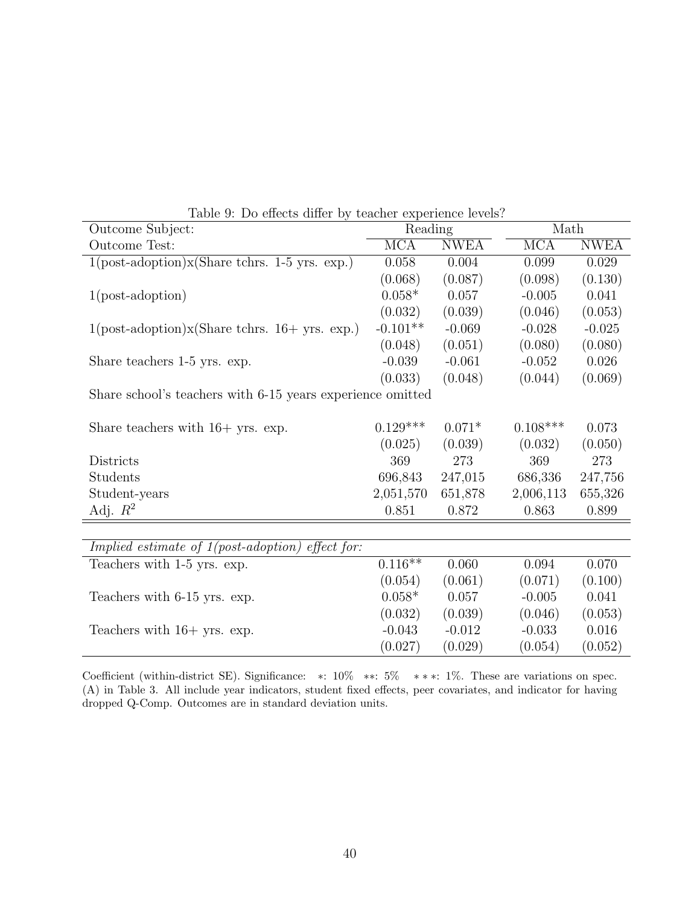| Outcome Subject:                                                                         | Reading                 |             | Math                    |             |
|------------------------------------------------------------------------------------------|-------------------------|-------------|-------------------------|-------------|
| Outcome Test:                                                                            | $\overline{\text{MCA}}$ | <b>NWEA</b> | $\overline{\text{MCA}}$ | <b>NWEA</b> |
| $1(\text{post-adoption})\mathbf{x}(\text{Share others. 1-5 yrs. exp.})$                  | 0.058                   | 0.004       | 0.099                   | 0.029       |
|                                                                                          | (0.068)                 | (0.087)     | (0.098)                 | (0.130)     |
| $1(post-adoption)$                                                                       | $0.058*$                | 0.057       | $-0.005$                | 0.041       |
|                                                                                          | (0.032)                 | (0.039)     | (0.046)                 | (0.053)     |
| $1(\text{post-adoption})\mathbf{x}(\text{Share others. } 16 + \text{yrs. } \text{exp.})$ | $-0.101**$              | $-0.069$    | $-0.028$                | $-0.025$    |
|                                                                                          | (0.048)                 | (0.051)     | (0.080)                 | (0.080)     |
| Share teachers 1-5 yrs. exp.                                                             | $-0.039$                | $-0.061$    | $-0.052$                | 0.026       |
|                                                                                          | (0.033)                 | (0.048)     | (0.044)                 | (0.069)     |
| Share school's teachers with 6-15 years experience omitted                               |                         |             |                         |             |
|                                                                                          |                         |             |                         |             |
| Share teachers with $16+$ yrs. exp.                                                      | $0.129***$              | $0.071*$    | $0.108***$              | 0.073       |
|                                                                                          | (0.025)                 | (0.039)     | (0.032)                 | (0.050)     |
| Districts                                                                                | 369                     | 273         | 369                     | 273         |
| Students                                                                                 | 696,843                 | 247,015     | 686,336                 | 247,756     |
| Student-years                                                                            | 2,051,570               | 651,878     | 2,006,113               | 655,326     |
| Adj. $R^2$                                                                               | 0.851                   | 0.872       | 0.863                   | 0.899       |
|                                                                                          |                         |             |                         |             |
| <i>Implied estimate of <math>1 (post-adoption)</math></i><br>$effect$ for:               |                         |             |                         |             |
| Teachers with 1-5 yrs. exp.                                                              | $0.116**$               | 0.060       | 0.094                   | 0.070       |
|                                                                                          | (0.054)                 | (0.061)     | (0.071)                 | (0.100)     |
| Teachers with 6-15 yrs. exp.                                                             | $0.058*$                | 0.057       | $-0.005$                | 0.041       |
|                                                                                          | (0.032)                 | (0.039)     | (0.046)                 | (0.053)     |
| Teachers with $16+$ yrs. exp.                                                            | $-0.043$                | $-0.012$    | $-0.033$                | 0.016       |
|                                                                                          | (0.027)                 | (0.029)     | (0.054)                 | (0.052)     |

Table 9: Do effects differ by teacher experience levels?

Coefficient (within-district SE). Significance: ∗: 10% ∗∗: 5% ∗ ∗ ∗: 1%. These are variations on spec. (A) in Table 3. All include year indicators, student fixed effects, peer covariates, and indicator for having dropped Q-Comp. Outcomes are in standard deviation units.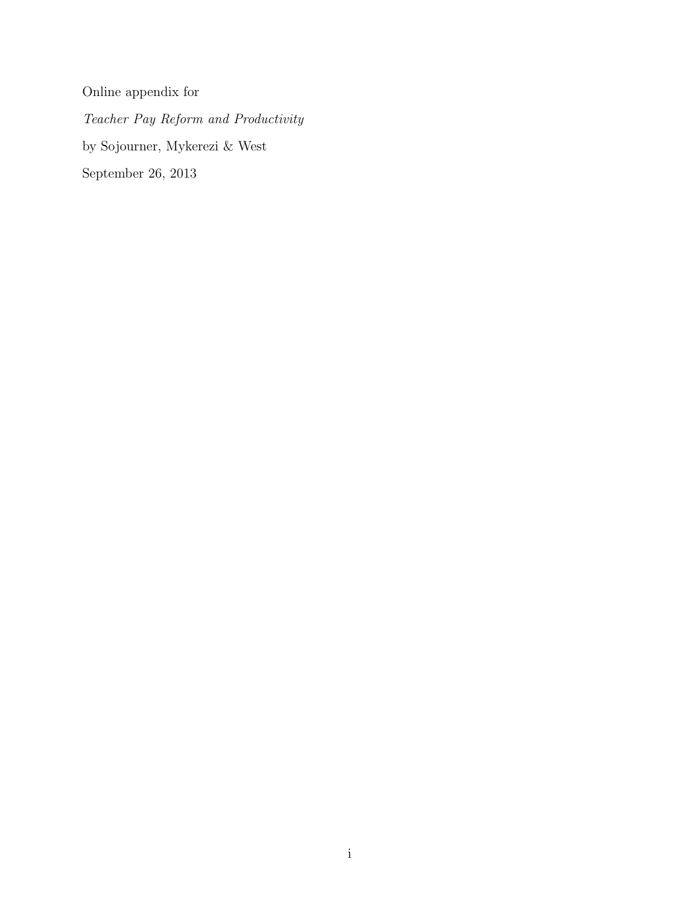Online appendix for Teacher Pay Reform and Productivity by Sojourner, Mykerezi & West September 26, 2013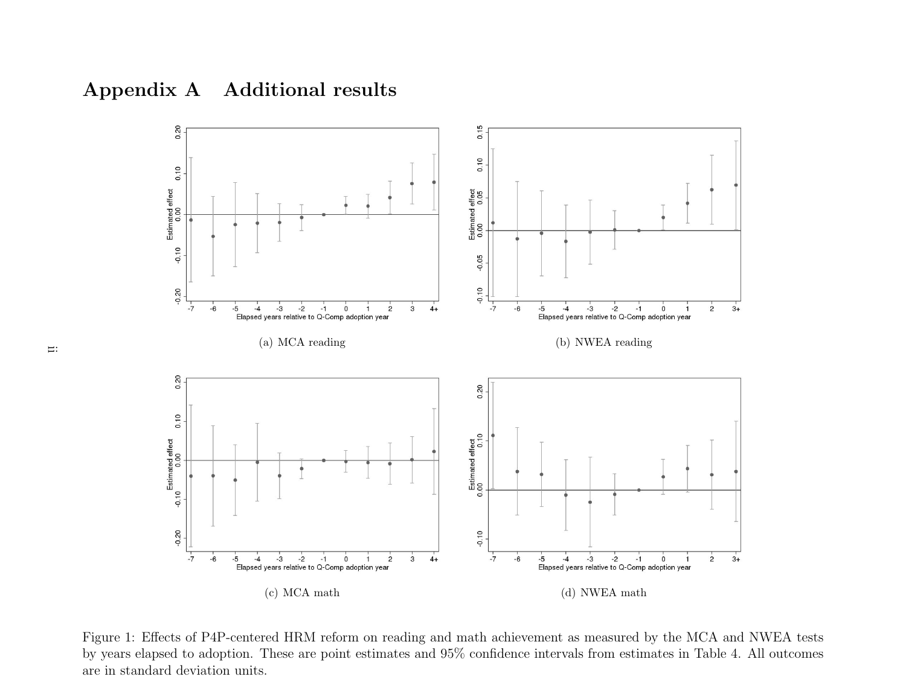



Figure 1: Effects of P4P-centered HRM reform on reading and math achievement as measured by the MCA and NWEA tests by years elapsed to adoption. These are point estimates and 95% confidence intervals from estimates in Table 4. All outcomesare in standard deviation units.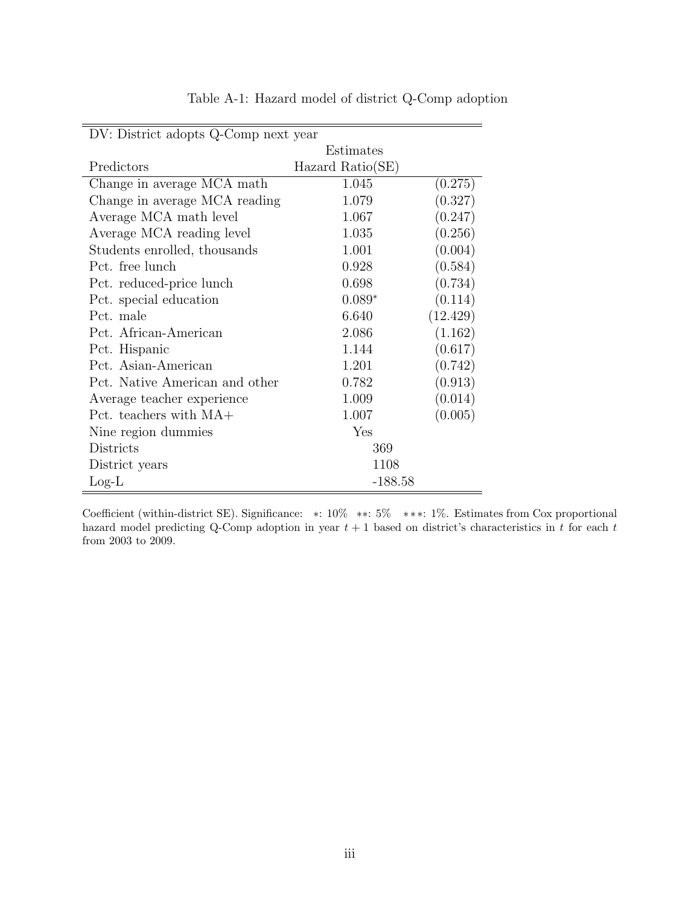| DV: District adopts Q-Comp next year |                  |          |
|--------------------------------------|------------------|----------|
|                                      | Estimates        |          |
| Predictors                           | Hazard Ratio(SE) |          |
| Change in average MCA math           | 1.045            | (0.275)  |
| Change in average MCA reading        | 1.079            | (0.327)  |
| Average MCA math level               | 1.067            | (0.247)  |
| Average MCA reading level            | 1.035            | (0.256)  |
| Students enrolled, thousands         | 1.001            | (0.004)  |
| Pct. free lunch                      | 0.928            | (0.584)  |
| Pct. reduced-price lunch             | 0.698            | (0.734)  |
| Pct. special education               | $0.089*$         | (0.114)  |
| Pct. male                            | 6.640            | (12.429) |
| Pct. African-American                | 2.086            | (1.162)  |
| Pct. Hispanic                        | 1.144            | (0.617)  |
| Pct. Asian-American                  | 1.201            | (0.742)  |
| Pct. Native American and other       | 0.782            | (0.913)  |
| Average teacher experience           | 1.009            | (0.014)  |
| Pct. teachers with $MA+$             | 1.007            | (0.005)  |
| Nine region dummies                  | Yes              |          |
| Districts                            | 369              |          |
| District years                       | 1108             |          |
| $Log-L$                              | $-188.58$        |          |

Table A-1: Hazard model of district Q-Comp adoption

Coefficient (within-district SE). Significance: ∗: 10% ∗∗: 5% ∗ ∗ ∗: 1%. Estimates from Cox proportional hazard model predicting Q-Comp adoption in year  $t + 1$  based on district's characteristics in t for each t from 2003 to 2009.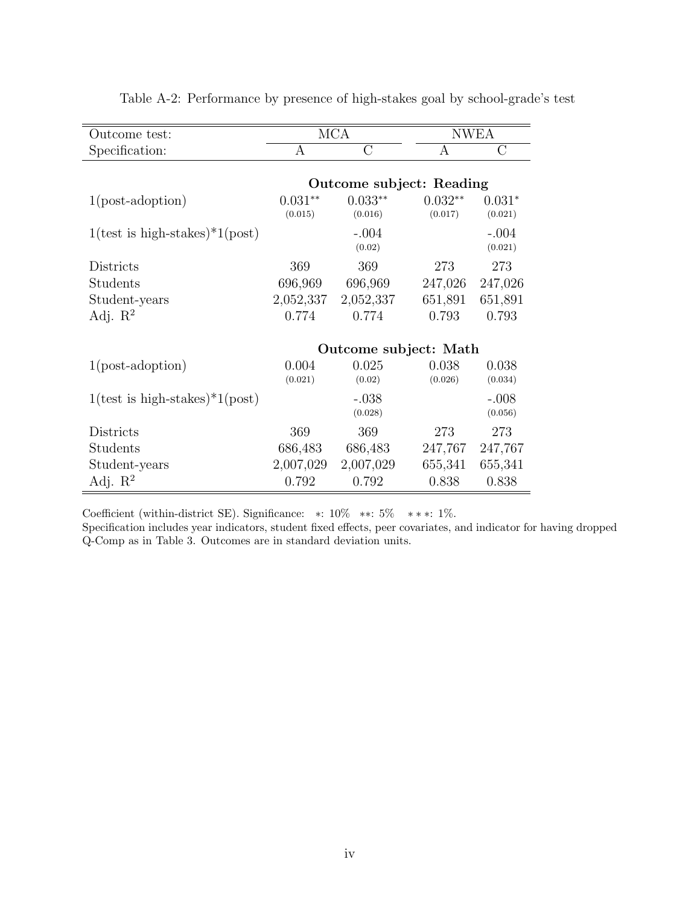| Outcome test:                                   |                      | <b>MCA</b>               |                      | <b>NWEA</b>         |
|-------------------------------------------------|----------------------|--------------------------|----------------------|---------------------|
| Specification:                                  | A                    | $\overline{C}$           | А                    | $\overline{C}$      |
|                                                 |                      | Outcome subject: Reading |                      |                     |
| $1(post-adoption)$                              | $0.031**$<br>(0.015) | $0.033**$<br>(0.016)     | $0.032**$<br>(0.017) | $0.031*$<br>(0.021) |
| $1(\text{test is high-stakes})^*1(\text{post})$ |                      | $-.004$<br>(0.02)        |                      | $-.004$<br>(0.021)  |
| Districts                                       | 369                  | 369                      | 273                  | 273                 |
| Students                                        | 696,969              | 696,969                  | 247,026              | 247,026             |
| Student-years                                   | 2,052,337            | 2,052,337                | 651,891              | 651,891             |
| Adj. $\mathbb{R}^2$                             | 0.774                | 0.774                    | 0.793                | 0.793               |
|                                                 |                      |                          |                      |                     |
|                                                 |                      | Outcome subject: Math    |                      |                     |
| $1(post-adoption)$                              | 0.004                | 0.025                    | 0.038                | 0.038               |
|                                                 | (0.021)              | (0.02)                   | (0.026)              | (0.034)             |
| $1(\text{test is high-stakes})^*1(\text{post})$ |                      | $-.038$<br>(0.028)       |                      | $-.008$<br>(0.056)  |
| Districts                                       | 369                  | 369                      | 273                  | 273                 |
| Students                                        | 686,483              | 686,483                  | 247,767              | 247,767             |
| Student-years                                   | 2,007,029            | 2,007,029                | 655,341              | 655,341             |
| Adj. $\mathbb{R}^2$                             | 0.792                | 0.792                    | 0.838                | 0.838               |

Table A-2: Performance by presence of high-stakes goal by school-grade's test

Coefficient (within-district SE). Significance:  $\ast$ : 10%  $\ast \ast$ : 5%  $\ast \ast \ast$ : 1%.

Specification includes year indicators, student fixed effects, peer covariates, and indicator for having dropped Q-Comp as in Table 3. Outcomes are in standard deviation units.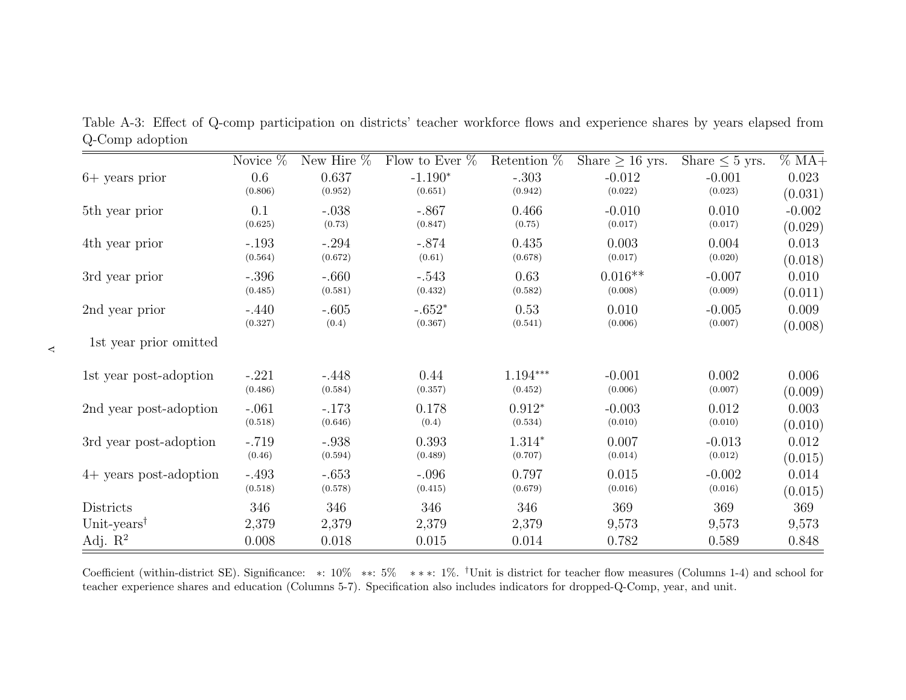|                                            | Novice $%$ | New Hire $%$ | Flow to Ever $%$ | Retention $%$ | Share $\geq 16$ yrs. | Share $\leq 5$ yrs. | $% MA+$  |
|--------------------------------------------|------------|--------------|------------------|---------------|----------------------|---------------------|----------|
| $6+$ years prior                           | 0.6        | 0.637        | $-1.190*$        | $-.303$       | $-0.012$             | $-0.001$            | 0.023    |
|                                            | (0.806)    | (0.952)      | (0.651)          | (0.942)       | (0.022)              | (0.023)             | (0.031)  |
| 5th year prior                             | 0.1        | $-.038$      | $-.867$          | 0.466         | $-0.010$             | 0.010               | $-0.002$ |
|                                            | (0.625)    | (0.73)       | (0.847)          | (0.75)        | (0.017)              | (0.017)             | (0.029)  |
| 4th year prior                             | $-.193$    | $-.294$      | $-.874$          | 0.435         | 0.003                | 0.004               | 0.013    |
|                                            | (0.564)    | (0.672)      | (0.61)           | (0.678)       | (0.017)              | (0.020)             | (0.018)  |
| 3rd year prior                             | $-.396$    | $-.660$      | $-.543$          | 0.63          | $0.016**$            | $-0.007$            | 0.010    |
|                                            | (0.485)    | (0.581)      | (0.432)          | (0.582)       | (0.008)              | (0.009)             | (0.011)  |
| 2nd year prior                             | $-.440$    | $-.605$      | $-.652*$         | 0.53          | 0.010                | $-0.005$            | 0.009    |
|                                            | (0.327)    | (0.4)        | (0.367)          | (0.541)       | (0.006)              | (0.007)             | (0.008)  |
| 1st year prior omitted                     |            |              |                  |               |                      |                     |          |
| 1st year post-adoption                     | $-.221$    | $-.448$      | 0.44             | $1.194***$    | $-0.001$             | 0.002               | 0.006    |
|                                            | (0.486)    | (0.584)      | (0.357)          | (0.452)       | (0.006)              | (0.007)             | (0.009)  |
| 2nd year post-adoption                     | $-.061$    | $-.173$      | 0.178            | $0.912*$      | $-0.003$             | 0.012               | 0.003    |
|                                            | (0.518)    | (0.646)      | (0.4)            | (0.534)       | (0.010)              | (0.010)             | (0.010)  |
| 3rd year post-adoption                     | $-.719$    | $-.938$      | 0.393            | $1.314*$      | 0.007                | $-0.013$            | 0.012    |
|                                            | (0.46)     | (0.594)      | (0.489)          | (0.707)       | (0.014)              | (0.012)             | (0.015)  |
| $4+$ years post-adoption                   | $-.493$    | $-.653$      | $-.096$          | 0.797         | 0.015                | $-0.002$            | 0.014    |
|                                            | (0.518)    | (0.578)      | (0.415)          | (0.679)       | (0.016)              | (0.016)             | (0.015)  |
| Districts                                  | 346        | 346          | 346              | 346           | 369                  | 369                 | 369      |
| Unit-years <sup><math>\dagger</math></sup> | 2,379      | 2,379        | 2,379            | 2,379         | 9,573                | 9,573               | 9,573    |
| Adj. $\mathbb{R}^2$                        | 0.008      | 0.018        | 0.015            | 0.014         | 0.782                | 0.589               | 0.848    |

Table A-3: Effect of Q-comp participation on districts' teacher workforce flows and experience shares by years elapsed fromQ-Comp adoption

Coefficient (within-district SE). Significance: \*:  $10\%$  \*\*:  $5\%$  \*\*\*:  $1\%$ . <sup>†</sup>Unit is district for teacher flow measures (Columns 1-4) and school for teacher experience shares and education (Columns 5-7). Specification also includes indicators for dropped-Q-Comp, year, and unit.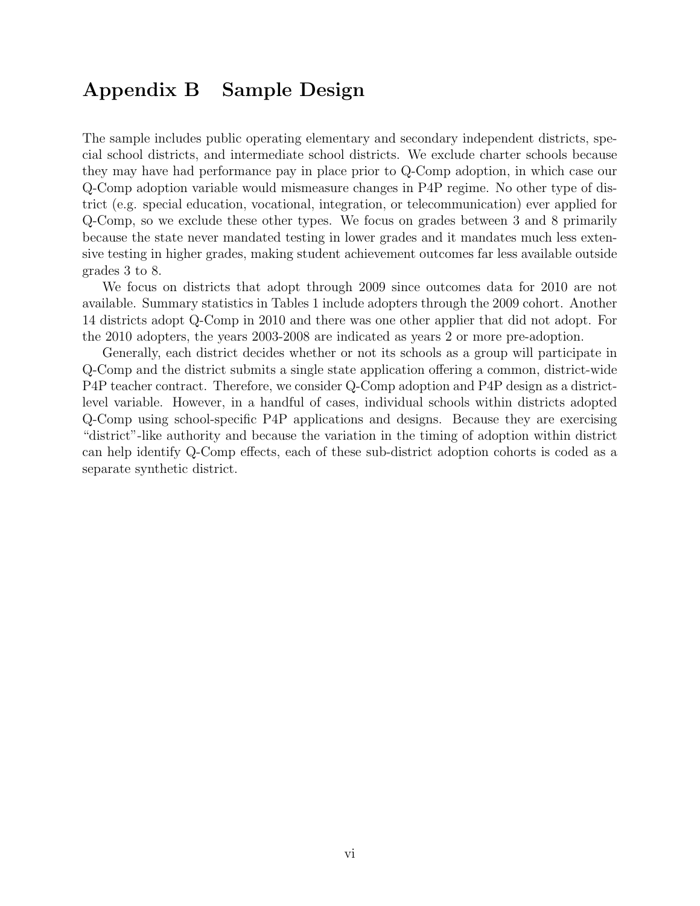### Appendix B Sample Design

The sample includes public operating elementary and secondary independent districts, special school districts, and intermediate school districts. We exclude charter schools because they may have had performance pay in place prior to Q-Comp adoption, in which case our Q-Comp adoption variable would mismeasure changes in P4P regime. No other type of district (e.g. special education, vocational, integration, or telecommunication) ever applied for Q-Comp, so we exclude these other types. We focus on grades between 3 and 8 primarily because the state never mandated testing in lower grades and it mandates much less extensive testing in higher grades, making student achievement outcomes far less available outside grades 3 to 8.

We focus on districts that adopt through 2009 since outcomes data for 2010 are not available. Summary statistics in Tables 1 include adopters through the 2009 cohort. Another 14 districts adopt Q-Comp in 2010 and there was one other applier that did not adopt. For the 2010 adopters, the years 2003-2008 are indicated as years 2 or more pre-adoption.

Generally, each district decides whether or not its schools as a group will participate in Q-Comp and the district submits a single state application offering a common, district-wide P4P teacher contract. Therefore, we consider Q-Comp adoption and P4P design as a districtlevel variable. However, in a handful of cases, individual schools within districts adopted Q-Comp using school-specific P4P applications and designs. Because they are exercising "district"-like authority and because the variation in the timing of adoption within district can help identify Q-Comp effects, each of these sub-district adoption cohorts is coded as a separate synthetic district.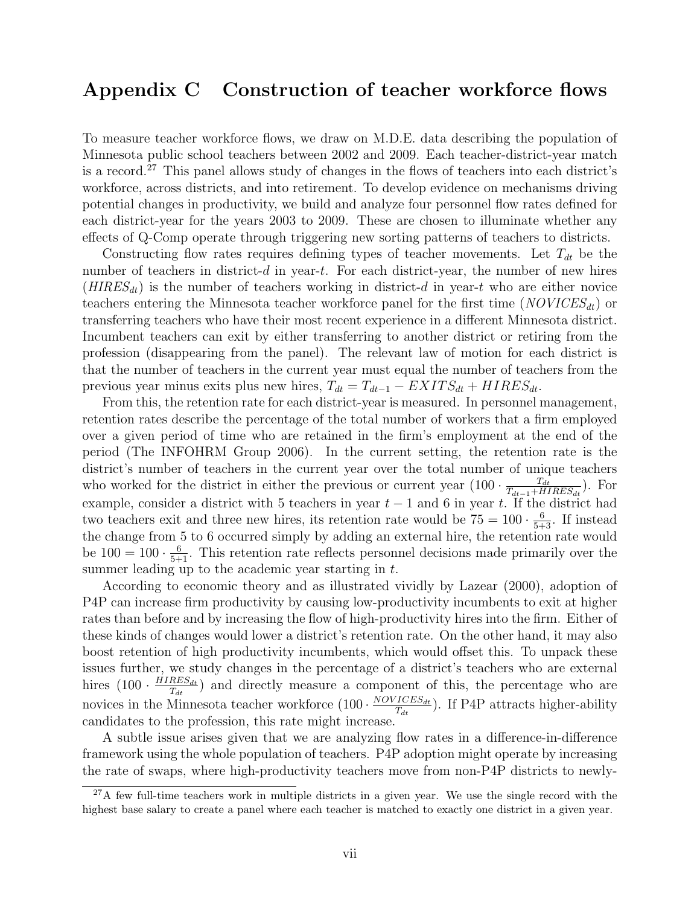## Appendix C Construction of teacher workforce flows

To measure teacher workforce flows, we draw on M.D.E. data describing the population of Minnesota public school teachers between 2002 and 2009. Each teacher-district-year match is a record.<sup>27</sup> This panel allows study of changes in the flows of teachers into each district's workforce, across districts, and into retirement. To develop evidence on mechanisms driving potential changes in productivity, we build and analyze four personnel flow rates defined for each district-year for the years 2003 to 2009. These are chosen to illuminate whether any effects of Q-Comp operate through triggering new sorting patterns of teachers to districts.

Constructing flow rates requires defining types of teacher movements. Let  $T_{dt}$  be the number of teachers in district- $d$  in year- $t$ . For each district-year, the number of new hires  $(HIRES_{dt})$  is the number of teachers working in district-d in year-t who are either novice teachers entering the Minnesota teacher workforce panel for the first time  $(NOVICES_{dt})$  or transferring teachers who have their most recent experience in a different Minnesota district. Incumbent teachers can exit by either transferring to another district or retiring from the profession (disappearing from the panel). The relevant law of motion for each district is that the number of teachers in the current year must equal the number of teachers from the previous year minus exits plus new hires,  $T_{dt} = T_{dt-1} - EXITS_{dt} + HIRES_{dt}$ .

From this, the retention rate for each district-year is measured. In personnel management, retention rates describe the percentage of the total number of workers that a firm employed over a given period of time who are retained in the firm's employment at the end of the period (The INFOHRM Group 2006). In the current setting, the retention rate is the district's number of teachers in the current year over the total number of unique teachers who worked for the district in either the previous or current year  $(100 \cdot \frac{T_{dt}}{T_{t} + H}$  $\frac{T_{dt}}{T_{dt-1}+HIRES_{dt}}$ ). For example, consider a district with 5 teachers in year  $t-1$  and 6 in year t. If the district had two teachers exit and three new hires, its retention rate would be  $75 = 100 \cdot \frac{6}{5+3}$ . If instead the change from 5 to 6 occurred simply by adding an external hire, the retention rate would be  $100 = 100 \cdot \frac{6}{5+1}$ . This retention rate reflects personnel decisions made primarily over the summer leading up to the academic year starting in t.

According to economic theory and as illustrated vividly by Lazear (2000), adoption of P4P can increase firm productivity by causing low-productivity incumbents to exit at higher rates than before and by increasing the flow of high-productivity hires into the firm. Either of these kinds of changes would lower a district's retention rate. On the other hand, it may also boost retention of high productivity incumbents, which would offset this. To unpack these issues further, we study changes in the percentage of a district's teachers who are external hires  $(100 \cdot \frac{HIRES_{dt}}{T_H})$  $\frac{HES_{dt}}{T_{dt}}$ ) and directly measure a component of this, the percentage who are novices in the Minnesota teacher workforce  $(100 \cdot \frac{NOVICES_{dt}}{T_{tr}})$  $\frac{ICES_{dt}}{T_{dt}}$ ). If P4P attracts higher-ability candidates to the profession, this rate might increase.

A subtle issue arises given that we are analyzing flow rates in a difference-in-difference framework using the whole population of teachers. P4P adoption might operate by increasing the rate of swaps, where high-productivity teachers move from non-P4P districts to newly-

 $27A$  few full-time teachers work in multiple districts in a given year. We use the single record with the highest base salary to create a panel where each teacher is matched to exactly one district in a given year.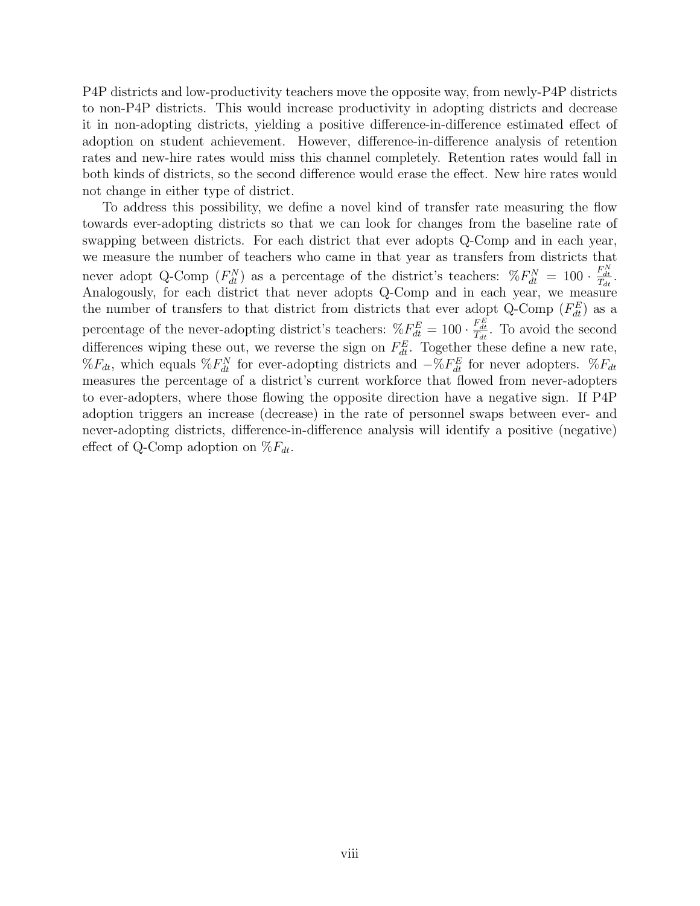P4P districts and low-productivity teachers move the opposite way, from newly-P4P districts to non-P4P districts. This would increase productivity in adopting districts and decrease it in non-adopting districts, yielding a positive difference-in-difference estimated effect of adoption on student achievement. However, difference-in-difference analysis of retention rates and new-hire rates would miss this channel completely. Retention rates would fall in both kinds of districts, so the second difference would erase the effect. New hire rates would not change in either type of district.

To address this possibility, we define a novel kind of transfer rate measuring the flow towards ever-adopting districts so that we can look for changes from the baseline rate of swapping between districts. For each district that ever adopts Q-Comp and in each year, we measure the number of teachers who came in that year as transfers from districts that never adopt Q-Comp  $(F_{dt}^N)$  as a percentage of the district's teachers:  $\mathcal{K}F_{dt}^N = 100 \cdot \frac{F_{dt}^N}{T_{dt}}$ . Analogously, for each district that never adopts Q-Comp and in each year, we measure the number of transfers to that district from districts that ever adopt Q-Comp  $(F_{dt}^E)$  as a percentage of the never-adopting district's teachers:  $\mathcal{E}_{dt}^{E} = 100 \cdot \frac{F_{dt}^{E}}{T_{dt}}$ . To avoid the second differences wiping these out, we reverse the sign on  $F_{dt}^{E}$ . Together these define a new rate,  $\%F_{dt}$ , which equals  $\%F_{dt}^{N}$  for ever-adopting districts and  $-\%F_{dt}^{E}$  for never adopters.  $\%F_{dt}$ measures the percentage of a district's current workforce that flowed from never-adopters to ever-adopters, where those flowing the opposite direction have a negative sign. If P4P adoption triggers an increase (decrease) in the rate of personnel swaps between ever- and never-adopting districts, difference-in-difference analysis will identify a positive (negative) effect of Q-Comp adoption on  $\mathcal{K}_{d_t}$ .